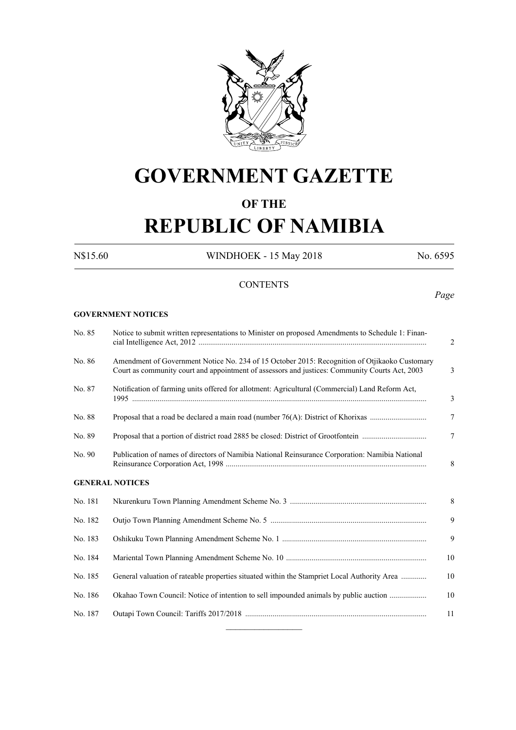

# **GOVERNMENT GAZETTE**

# **OF THE**

# **REPUBLIC OF NAMIBIA**

N\$15.60 WINDHOEK - 15 May 2018 No. 6595

# **CONTENTS**

# *Page*

#### **GOVERNMENT NOTICES**

| No. 85  | Notice to submit written representations to Minister on proposed Amendments to Schedule 1: Finan-<br>2                                                                                               |
|---------|------------------------------------------------------------------------------------------------------------------------------------------------------------------------------------------------------|
| No. 86  | Amendment of Government Notice No. 234 of 15 October 2015: Recognition of Otjikaoko Customary<br>Court as community court and appointment of assessors and justices: Community Courts Act, 2003<br>3 |
| No. 87  | Notification of farming units offered for allotment: Agricultural (Commercial) Land Reform Act,<br>$\overline{3}$                                                                                    |
| No. 88  | 7                                                                                                                                                                                                    |
| No. 89  | $\tau$                                                                                                                                                                                               |
| No. 90  | Publication of names of directors of Namibia National Reinsurance Corporation: Namibia National<br>8                                                                                                 |
|         | <b>GENERAL NOTICES</b>                                                                                                                                                                               |
| No. 181 | 8                                                                                                                                                                                                    |
| No. 182 | 9                                                                                                                                                                                                    |
| No. 183 | 9                                                                                                                                                                                                    |
| No. 184 | 10                                                                                                                                                                                                   |
| No. 185 | General valuation of rateable properties situated within the Stampriet Local Authority Area<br>10                                                                                                    |
| No. 186 | Okahao Town Council: Notice of intention to sell impounded animals by public auction<br>10                                                                                                           |
| No. 187 | 11                                                                                                                                                                                                   |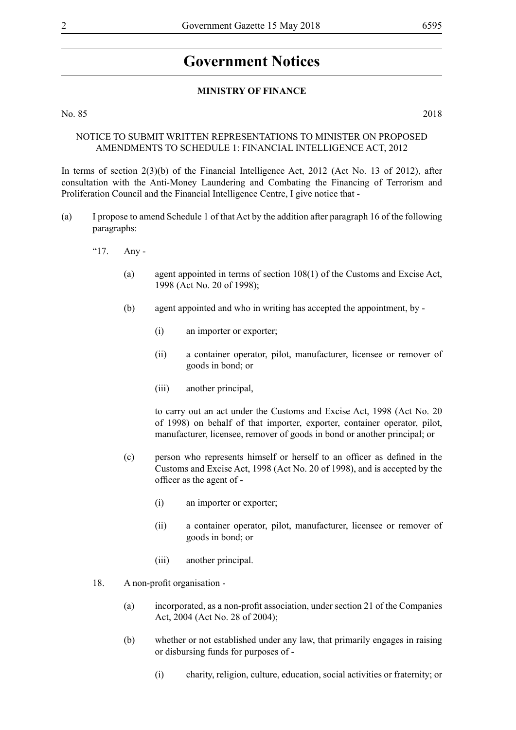# **Government Notices**

#### **MINISTRY OF FINANCE**

No. 85 2018

### NOTICE TO SUBMIT WRITTEN REPRESENTATIONS TO MINISTER ON PROPOSED AMENDMENTS TO SCHEDULE 1: FINANCIAL INTELLIGENCE ACT, 2012

In terms of section 2(3)(b) of the Financial Intelligence Act, 2012 (Act No. 13 of 2012), after consultation with the Anti-Money Laundering and Combating the Financing of Terrorism and Proliferation Council and the Financial Intelligence Centre, I give notice that -

- (a) I propose to amend Schedule 1 of that Act by the addition after paragraph 16 of the following paragraphs:
	- "17. Any
		- (a) agent appointed in terms of section 108(1) of the Customs and Excise Act, 1998 (Act No. 20 of 1998);
		- (b) agent appointed and who in writing has accepted the appointment, by
			- (i) an importer or exporter;
			- (ii) a container operator, pilot, manufacturer, licensee or remover of goods in bond; or
			- (iii) another principal,

to carry out an act under the Customs and Excise Act, 1998 (Act No. 20 of 1998) on behalf of that importer, exporter, container operator, pilot, manufacturer, licensee, remover of goods in bond or another principal; or

- (c) person who represents himself or herself to an officer as defined in the Customs and Excise Act, 1998 (Act No. 20 of 1998), and is accepted by the officer as the agent of -
	- (i) an importer or exporter;
	- (ii) a container operator, pilot, manufacturer, licensee or remover of goods in bond; or
	- (iii) another principal.
- 18. A non-profit organisation
	- (a) incorporated, as a non-profit association, under section 21 of the Companies Act, 2004 (Act No. 28 of 2004);
	- (b) whether or not established under any law, that primarily engages in raising or disbursing funds for purposes of -
		- (i) charity, religion, culture, education, social activities or fraternity; or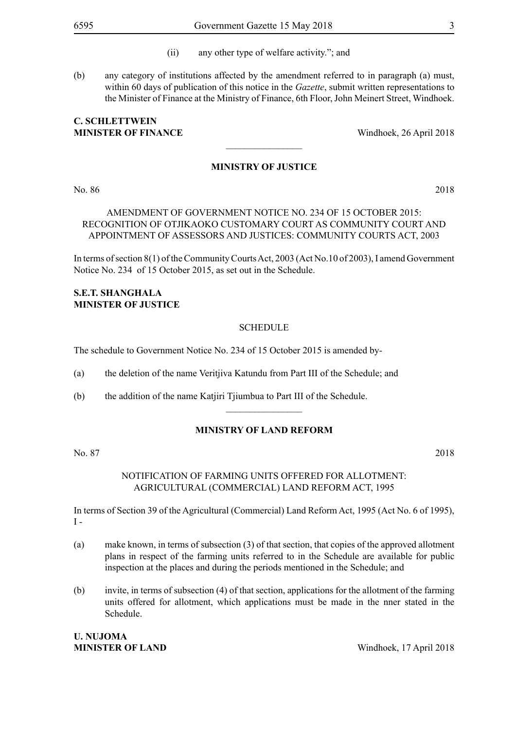- (ii) any other type of welfare activity."; and
- (b) any category of institutions affected by the amendment referred to in paragraph (a) must, within 60 days of publication of this notice in the *Gazette*, submit written representations to the Minister of Finance at the Ministry of Finance, 6th Floor, John Meinert Street, Windhoek.

# **C. Schlettwein MINISTER OF FINANCE** Windhoek, 26 April 2018

#### **MINISTRY OF JUSTICE**

 $\overline{\phantom{a}}$  , where  $\overline{\phantom{a}}$ 

No. 86 2018

## AMENDMENT OF GOVERNMENT NOTICE NO. 234 OF 15 OCTOBER 2015: RECOGNITION OF OTJIKAOKO CUSTOMARY COURT AS COMMUNITY COURT AND APPOINTMENT OF ASSESSORS AND JUSTICES: COMMUNITY COURTS ACT, 2003

In terms of section 8(1) of the Community Courts Act, 2003 (Act No.10 of 2003), I amend Government Notice No. 234 of 15 October 2015, as set out in the Schedule.

#### **S.E.T. SHANGHALA Minister of Justice**

#### **SCHEDULE**

The schedule to Government Notice No. 234 of 15 October 2015 is amended by-

(a) the deletion of the name Veritjiva Katundu from Part III of the Schedule; and

(b) the addition of the name Katjiri Tjiumbua to Part III of the Schedule.

#### **MINISTRY OF LAND REFORM**

 $\overline{\phantom{a}}$  , where  $\overline{\phantom{a}}$ 

No. 87 2018

NOTIFICATION OF FARMING UNITS OFFERED FOR ALLOTMENT: AGRICULTURAL (COMMERCIAL) LAND REFORM ACT, 1995

In terms of Section 39 of the Agricultural (Commercial) Land Reform Act, 1995 (Act No. 6 of 1995),  $I -$ 

- (a) make known, in terms of subsection (3) of that section, that copies of the approved allotment plans in respect of the farming units referred to in the Schedule are available for public inspection at the places and during the periods mentioned in the Schedule; and
- (b) invite, in terms of subsection (4) of that section, applications for the allotment of the farming units offered for allotment, which applications must be made in the nner stated in the Schedule.

# **U. Nujoma**

**MINISTER OF LAND** Windhoek, 17 April 2018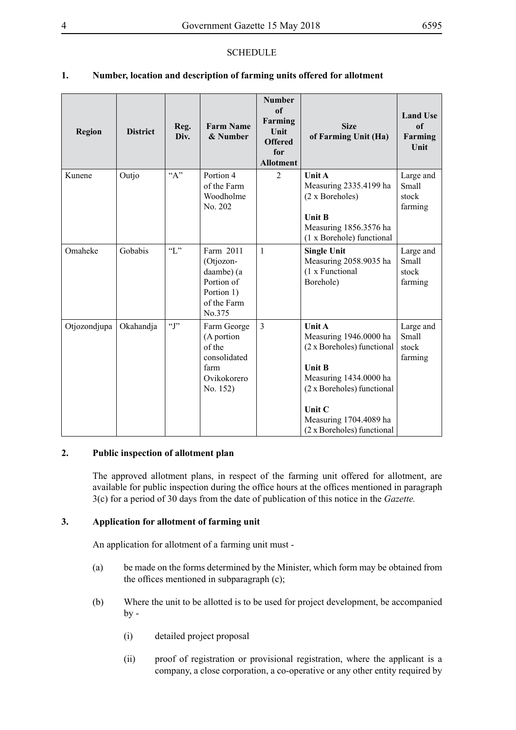# **SCHEDULE**

# **1. Number, location and description of farming units offered for allotment**

| <b>Region</b> | <b>District</b> | Reg.<br>Div. | <b>Farm Name</b><br>& Number                                                              | <b>Number</b><br>of<br>Farming<br>Unit<br><b>Offered</b><br>for<br><b>Allotment</b> | <b>Size</b><br>of Farming Unit (Ha)                                                                                                                                                                       | <b>Land Use</b><br>of<br>Farming<br>Unit |
|---------------|-----------------|--------------|-------------------------------------------------------------------------------------------|-------------------------------------------------------------------------------------|-----------------------------------------------------------------------------------------------------------------------------------------------------------------------------------------------------------|------------------------------------------|
| Kunene        | Outjo           | $A$ "        | Portion 4<br>of the Farm<br>Woodholme<br>No. 202                                          | $\overline{2}$                                                                      | <b>Unit A</b><br>Measuring 2335.4199 ha<br>(2 x Boreholes)<br><b>Unit B</b><br>Measuring 1856.3576 ha<br>(1 x Borehole) functional                                                                        | Large and<br>Small<br>stock<br>farming   |
| Omaheke       | Gobabis         | $\lq\lq L$ " | Farm 2011<br>(Otjozon-<br>daambe) (a<br>Portion of<br>Portion 1)<br>of the Farm<br>No.375 | $\mathbf{1}$                                                                        | <b>Single Unit</b><br>Measuring 2058.9035 ha<br>(1 x Functional<br>Borehole)                                                                                                                              | Large and<br>Small<br>stock<br>farming   |
| Otjozondjupa  | Okahandja       | $\lq\lq$ .   | Farm George<br>(A portion<br>of the<br>consolidated<br>farm<br>Ovikokorero<br>No. 152)    | 3                                                                                   | Unit A<br>Measuring 1946.0000 ha<br>(2 x Boreholes) functional<br><b>Unit B</b><br>Measuring 1434.0000 ha<br>(2 x Boreholes) functional<br>Unit C<br>Measuring 1704.4089 ha<br>(2 x Boreholes) functional | Large and<br>Small<br>stock<br>farming   |

# **2. Public inspection of allotment plan**

The approved allotment plans, in respect of the farming unit offered for allotment, are available for public inspection during the office hours at the offices mentioned in paragraph 3(c) for a period of 30 days from the date of publication of this notice in the *Gazette.*

#### **3. Application for allotment of farming unit**

An application for allotment of a farming unit must -

- (a) be made on the forms determined by the Minister, which form may be obtained from the offices mentioned in subparagraph (c);
- (b) Where the unit to be allotted is to be used for project development, be accompanied  $by -$ 
	- (i) detailed project proposal
	- (ii) proof of registration or provisional registration, where the applicant is a company, a close corporation, a co-operative or any other entity required by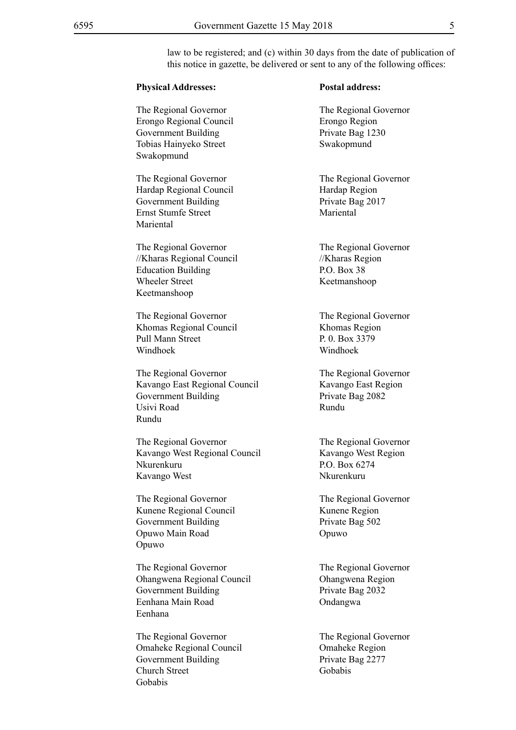law to be registered; and (c) within 30 days from the date of publication of this notice in gazette, be delivered or sent to any of the following offices:

| <b>Physical Addresses:</b>                                                                                                |
|---------------------------------------------------------------------------------------------------------------------------|
| The Regional Governor<br>Erongo Regional Council<br>Government Building<br>Tobias Hainyeko Street<br>Swakopmund           |
| The Regional Governor<br>Hardap Regional Council<br><b>Government Building</b><br><b>Ernst Stumfe Street</b><br>Mariental |
| The Regional Governor<br>//Kharas Regional Council<br><b>Education Building</b><br><b>Wheeler Street</b><br>Keetmanshoop  |
| The Regional Governor<br>Khomas Regional Council<br><b>Pull Mann Street</b><br>Windhoek                                   |
| The Regional Governor<br>Kavango East Regional Council<br><b>Government Building</b><br>Usivi Road<br>Rundu               |
| The Regional Governor<br>Kavango West Regional Council<br>Nkurenkuru<br>Kavango West                                      |
| The Regional Governor<br>Kunene Regional Council<br><b>Government Building</b><br>Opuwo Main Road<br>Opuwo                |
| The Regional Governor<br>Ohangwena Regional Council<br><b>Government Building</b><br>Eenhana Main Road<br>Eenhana         |

Omaheke Regional Council Omaheke Region Government Building Private Bag 2277 Church Street Gobabis Gobabis

#### **Postal address:**

The Regional Governor Erongo Region Private Bag 1230 Swakopmund

The Regional Governor Hardap Region Private Bag 2017 **Mariental** 

The Regional Governor  $//$ Kharas Region P.O. Box 38 Keetmanshoop

The Regional Governor Khomas Region P. 0. Box 3379 Windhoek

The Regional Governor Kavango East Region Private Bag 2082 Rundu

The Regional Governor Kavango West Region P.O. Box 6274 Nkurenkuru

The Regional Governor Kunene Region Private Bag 502 Opuwo

The Regional Governor Ohangwena Region Private Bag 2032 Ondangwa

The Regional Governor<br>
The Regional Governor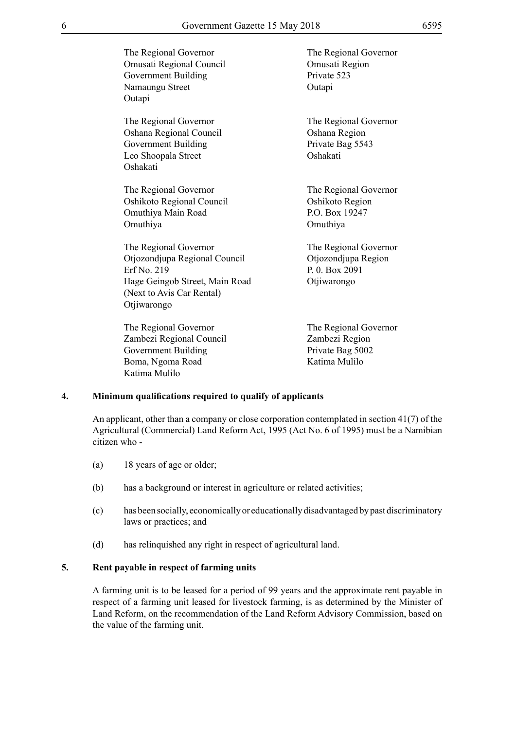| The Regional Governor<br>Omusati Regional Council<br>Government Building<br>Namaungu Street<br>Outapi                                               | The Regional Governor<br>Omusati Region<br>Private 523<br>Outapi              |
|-----------------------------------------------------------------------------------------------------------------------------------------------------|-------------------------------------------------------------------------------|
| The Regional Governor<br>Oshana Regional Council<br><b>Government Building</b><br>Leo Shoopala Street<br>Oshakati                                   | The Regional Governor<br>Oshana Region<br>Private Bag 5543<br>Oshakati        |
| The Regional Governor<br>Oshikoto Regional Council<br>Omuthiya Main Road<br>Omuthiya                                                                | The Regional Governor<br>Oshikoto Region<br>P.O. Box 19247<br>Omuthiya        |
| The Regional Governor<br>Otjozondjupa Regional Council<br>Erf No. 219<br>Hage Geingob Street, Main Road<br>(Next to Avis Car Rental)<br>Otjiwarongo | The Regional Governor<br>Otjozondjupa Region<br>P. 0. Box 2091<br>Otjiwarongo |
| The Regional Governor<br>Zambezi Regional Council                                                                                                   | The Regional Governor<br>Zambezi Region                                       |

Government Building<br>
Boma, Ngoma Road<br>
Ratima Mulilo Boma, Ngoma Road Katima Mulilo

#### **4. Minimum qualifications required to qualify of applicants**

An applicant, other than a company or close corporation contemplated in section 41(7) of the Agricultural (Commercial) Land Reform Act, 1995 (Act No. 6 of 1995) must be a Namibian citizen who -

- (a) 18 years of age or older;
- (b) has a background or interest in agriculture or related activities;
- (c) has been socially, economically or educationally disadvantaged by past discriminatory laws or practices; and
- (d) has relinquished any right in respect of agricultural land.

#### **5. Rent payable in respect of farming units**

A farming unit is to be leased for a period of 99 years and the approximate rent payable in respect of a farming unit leased for livestock farming, is as determined by the Minister of Land Reform, on the recommendation of the Land Reform Advisory Commission, based on the value of the farming unit.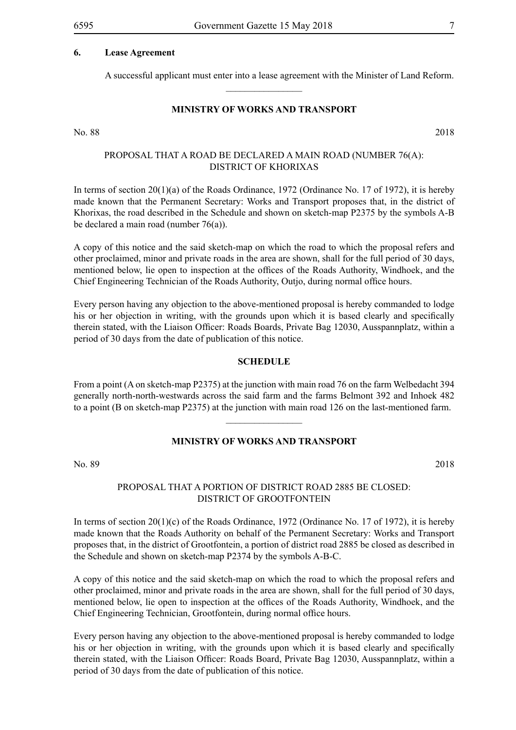#### **6. Lease Agreement**

A successful applicant must enter into a lease agreement with the Minister of Land Reform.

#### **MINISTRY OF WORKS AND TRANSPORT**

 $\frac{1}{2}$ 

No. 88 2018

### PROPOSAL THAT A ROAD BE DECLARED A MAIN ROAD (NUMBER 76(A): DISTRICT OF KHORIXAS

In terms of section 20(1)(a) of the Roads Ordinance, 1972 (Ordinance No. 17 of 1972), it is hereby made known that the Permanent Secretary: Works and Transport proposes that, in the district of Khorixas, the road described in the Schedule and shown on sketch-map P2375 by the symbols A-B be declared a main road (number 76(a)).

A copy of this notice and the said sketch-map on which the road to which the proposal refers and other proclaimed, minor and private roads in the area are shown, shall for the full period of 30 days, mentioned below, lie open to inspection at the offices of the Roads Authority, Windhoek, and the Chief Engineering Technician of the Roads Authority, Outjo, during normal office hours.

Every person having any objection to the above-mentioned proposal is hereby commanded to lodge his or her objection in writing, with the grounds upon which it is based clearly and specifically therein stated, with the Liaison Officer: Roads Boards, Private Bag 12030, Ausspannplatz, within a period of 30 days from the date of publication of this notice.

#### **SCHEDULE**

From a point (A on sketch-map P2375) at the junction with main road 76 on the farm Welbedacht 394 generally north-north-westwards across the said farm and the farms Belmont 392 and Inhoek 482 to a point (B on sketch-map P2375) at the junction with main road 126 on the last-mentioned farm.

 $\frac{1}{2}$ 

#### **MINISTRY OF WORKS AND TRANSPORT**

No. 89 2018

#### PROPOSAL THAT A PORTION OF DISTRICT ROAD 2885 BE CLOSED: DISTRICT OF GROOTFONTEIN

In terms of section 20(1)(c) of the Roads Ordinance, 1972 (Ordinance No. 17 of 1972), it is hereby made known that the Roads Authority on behalf of the Permanent Secretary: Works and Transport proposes that, in the district of Grootfontein, a portion of district road 2885 be closed as described in the Schedule and shown on sketch-map P2374 by the symbols A-B-C.

A copy of this notice and the said sketch-map on which the road to which the proposal refers and other proclaimed, minor and private roads in the area are shown, shall for the full period of 30 days, mentioned below, lie open to inspection at the offices of the Roads Authority, Windhoek, and the Chief Engineering Technician, Grootfontein, during normal office hours.

Every person having any objection to the above-mentioned proposal is hereby commanded to lodge his or her objection in writing, with the grounds upon which it is based clearly and specifically therein stated, with the Liaison Officer: Roads Board, Private Bag 12030, Ausspannplatz, within a period of 30 days from the date of publication of this notice.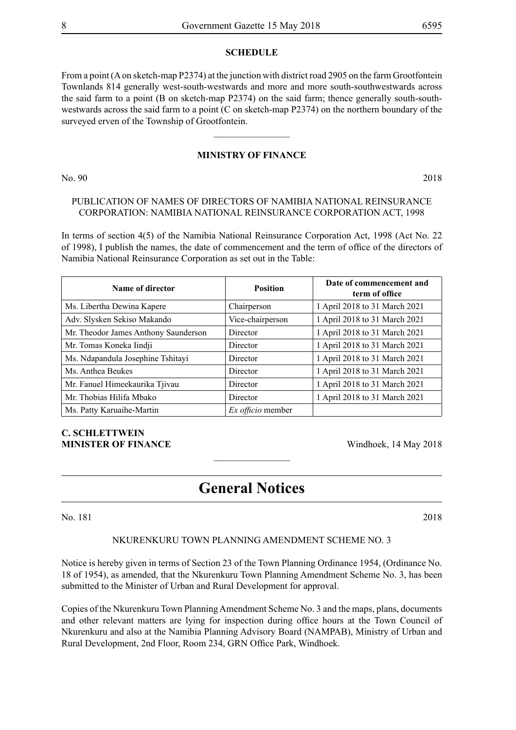#### **SCHEDULE**

From a point (A on sketch-map P2374) at the junction with district road 2905 on the farm Grootfontein Townlands 814 generally west-south-westwards and more and more south-southwestwards across the said farm to a point (B on sketch-map P2374) on the said farm; thence generally south-southwestwards across the said farm to a point (C on sketch-map P2374) on the northern boundary of the surveyed erven of the Township of Grootfontein.

#### **MINISTRY OF FINANCE**

 $\frac{1}{2}$ 

No. 90 2018

## PUBLICATION OF NAMES OF DIRECTORS OF NAMIBIA NATIONAL REINSURANCE CORPORATION: NAMIBIA NATIONAL REINSURANCE CORPORATION ACT, 1998

In terms of section 4(5) of the Namibia National Reinsurance Corporation Act, 1998 (Act No. 22 of 1998), I publish the names, the date of commencement and the term of office of the directors of Namibia National Reinsurance Corporation as set out in the Table:

| Name of director                     | <b>Position</b>   | Date of commencement and<br>term of office |
|--------------------------------------|-------------------|--------------------------------------------|
| Ms. Libertha Dewina Kapere           | Chairperson       | 1 April 2018 to 31 March 2021              |
| Adv. Slysken Sekiso Makando          | Vice-chairperson  | 1 April 2018 to 31 March 2021              |
| Mr. Theodor James Anthony Saunderson | Director          | 1 April 2018 to 31 March 2021              |
| Mr. Tomas Koneka Iindji              | Director          | 1 April 2018 to 31 March 2021              |
| Ms. Ndapandula Josephine Tshitayi    | Director          | 1 April 2018 to 31 March 2021              |
| Ms. Anthea Beukes                    | Director          | 1 April 2018 to 31 March 2021              |
| Mr. Fanuel Himeekaurika Tjivau       | Director          | 1 April 2018 to 31 March 2021              |
| Mr. Thobias Hilifa Mbako             | Director          | 1 April 2018 to 31 March 2021              |
| Ms. Patty Karuaihe-Martin            | Ex officio member |                                            |

# **C. Schlettwein MINISTER OF FINANCE** Windhoek, 14 May 2018

# **General Notices**

 $\overline{\phantom{a}}$  , where  $\overline{\phantom{a}}$ 

No. 181 2018

#### NKURENKURU TOWN PLANNING AMENDMENT SCHEME NO. 3

Notice is hereby given in terms of Section 23 of the Town Planning Ordinance 1954, (Ordinance No. 18 of 1954), as amended, that the Nkurenkuru Town Planning Amendment Scheme No. 3, has been submitted to the Minister of Urban and Rural Development for approval.

Copies of the Nkurenkuru Town Planning Amendment Scheme No. 3 and the maps, plans, documents and other relevant matters are lying for inspection during office hours at the Town Council of Nkurenkuru and also at the Namibia Planning Advisory Board (NAMPAB), Ministry of Urban and Rural Development, 2nd Floor, Room 234, GRN Office Park, Windhoek.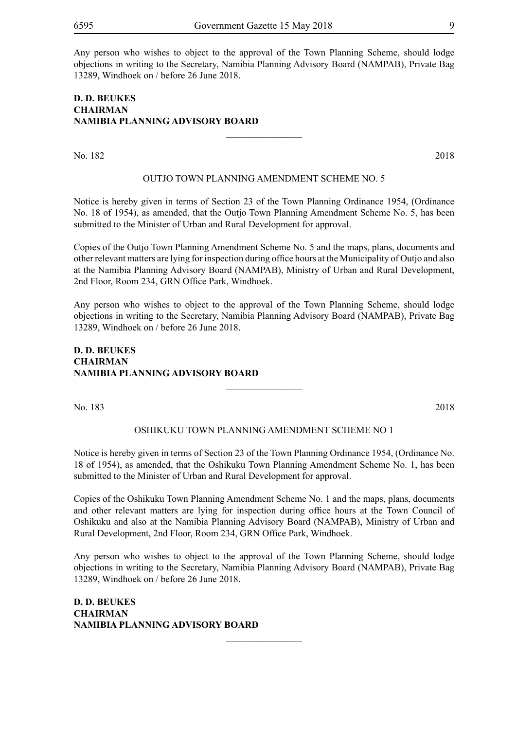Any person who wishes to object to the approval of the Town Planning Scheme, should lodge objections in writing to the Secretary, Namibia Planning Advisory Board (NAMPAB), Private Bag 13289, Windhoek on / before 26 June 2018.

# **D. D. BEUKES CHAIRMAN NAMIBIA PLANNING ADVISORY BOARD**

No. 182 2018

#### OUTJO TOWN PLANNING AMENDMENT SCHEME NO. 5

 $\overline{\phantom{a}}$  , where  $\overline{\phantom{a}}$ 

Notice is hereby given in terms of Section 23 of the Town Planning Ordinance 1954, (Ordinance No. 18 of 1954), as amended, that the Outjo Town Planning Amendment Scheme No. 5, has been submitted to the Minister of Urban and Rural Development for approval.

Copies of the Outjo Town Planning Amendment Scheme No. 5 and the maps, plans, documents and other relevant matters are lying for inspection during office hours at the Municipality of Outjo and also at the Namibia Planning Advisory Board (NAMPAB), Ministry of Urban and Rural Development, 2nd Floor, Room 234, GRN Office Park, Windhoek.

Any person who wishes to object to the approval of the Town Planning Scheme, should lodge objections in writing to the Secretary, Namibia Planning Advisory Board (NAMPAB), Private Bag 13289, Windhoek on / before 26 June 2018.

#### **D. D. BEUKES CHAIRMAN NAMIBIA PLANNING ADVISORY BOARD**

No. 183 2018

#### OSHIKUKU TOWN PLANNING AMENDMENT SCHEME NO 1

 $\frac{1}{2}$ 

Notice is hereby given in terms of Section 23 of the Town Planning Ordinance 1954, (Ordinance No. 18 of 1954), as amended, that the Oshikuku Town Planning Amendment Scheme No. 1, has been submitted to the Minister of Urban and Rural Development for approval.

Copies of the Oshikuku Town Planning Amendment Scheme No. 1 and the maps, plans, documents and other relevant matters are lying for inspection during office hours at the Town Council of Oshikuku and also at the Namibia Planning Advisory Board (NAMPAB), Ministry of Urban and Rural Development, 2nd Floor, Room 234, GRN Office Park, Windhoek.

Any person who wishes to object to the approval of the Town Planning Scheme, should lodge objections in writing to the Secretary, Namibia Planning Advisory Board (NAMPAB), Private Bag 13289, Windhoek on / before 26 June 2018.

 $\frac{1}{2}$ 

**D. D. BEUKES CHAIRMAN NAMIBIA PLANNING ADVISORY BOARD**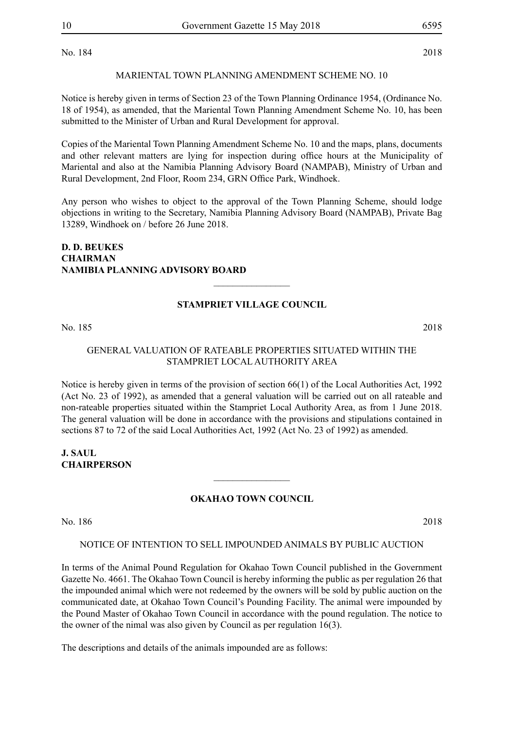No. 184 2018

#### MARIENTAL TOWN PLANNING AMENDMENT SCHEME NO. 10

Notice is hereby given in terms of Section 23 of the Town Planning Ordinance 1954, (Ordinance No. 18 of 1954), as amended, that the Mariental Town Planning Amendment Scheme No. 10, has been submitted to the Minister of Urban and Rural Development for approval.

Copies of the Mariental Town Planning Amendment Scheme No. 10 and the maps, plans, documents and other relevant matters are lying for inspection during office hours at the Municipality of Mariental and also at the Namibia Planning Advisory Board (NAMPAB), Ministry of Urban and Rural Development, 2nd Floor, Room 234, GRN Office Park, Windhoek.

Any person who wishes to object to the approval of the Town Planning Scheme, should lodge objections in writing to the Secretary, Namibia Planning Advisory Board (NAMPAB), Private Bag 13289, Windhoek on / before 26 June 2018.

# **D. D. BEUKES CHAIRMAN NAMIBIA PLANNING ADVISORY BOARD**

#### **STAMPRIET VILLAGE COUNCIL**

 $\frac{1}{2}$ 

No. 185 2018

#### GENERAL VALUATION OF RATEABLE PROPERTIES SITUATED WITHIN THE STAMPRIET LOCAL AUTHORITY AREA

Notice is hereby given in terms of the provision of section 66(1) of the Local Authorities Act, 1992 (Act No. 23 of 1992), as amended that a general valuation will be carried out on all rateable and non-rateable properties situated within the Stampriet Local Authority Area, as from 1 June 2018. The general valuation will be done in accordance with the provisions and stipulations contained in sections 87 to 72 of the said Local Authorities Act, 1992 (Act No. 23 of 1992) as amended.

**J. SAUL CHAIRPERSON**

#### **OKAHAO TOWN COUNCIL**

 $\frac{1}{2}$ 

No. 186 2018

#### NOTICE OF INTENTION TO SELL IMPOUNDED ANIMALS BY PUBLIC AUCTION

In terms of the Animal Pound Regulation for Okahao Town Council published in the Government Gazette No. 4661. The Okahao Town Council is hereby informing the public as per regulation 26 that the impounded animal which were not redeemed by the owners will be sold by public auction on the communicated date, at Okahao Town Council's Pounding Facility. The animal were impounded by the Pound Master of Okahao Town Council in accordance with the pound regulation. The notice to the owner of the nimal was also given by Council as per regulation 16(3).

The descriptions and details of the animals impounded are as follows: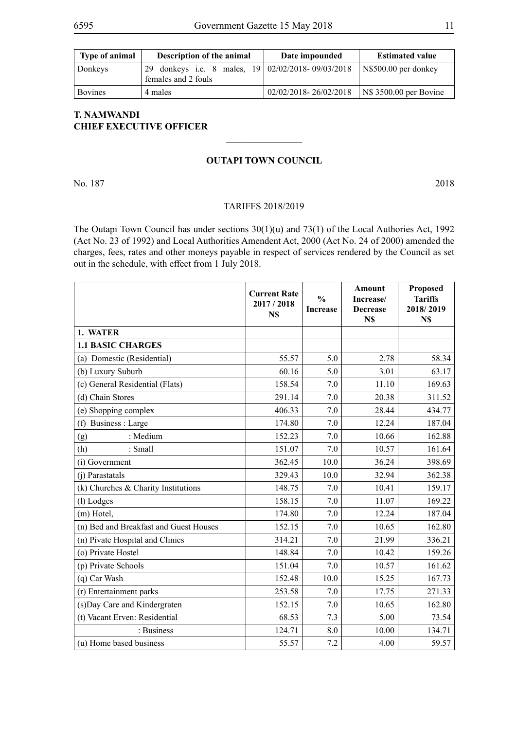| <b>Type of animal</b> | <b>Description of the animal</b>                  | Date impounded        | <b>Estimated value</b>         |
|-----------------------|---------------------------------------------------|-----------------------|--------------------------------|
| Donkeys               | 29 donkeys i.e. 8 males, 19 02/02/2018-09/03/2018 |                       | $\vert$ N\$500.00 per donkey   |
|                       | females and 2 fouls                               |                       |                                |
| <b>Bovines</b>        | 4 males                                           | 02/02/2018-26/02/2018 | $\vert$ N\$ 3500.00 per Bovine |

# **T. NAMWANDI CHIEF EXECUTIVE OFFICER**

#### **OUTAPI TOWN COUNCIL**

 $\frac{1}{2}$ 

No. 187 2018

#### TARIFFS 2018/2019

The Outapi Town Council has under sections 30(1)(u) and 73(1) of the Local Authories Act, 1992 (Act No. 23 of 1992) and Local Authorities Amendent Act, 2000 (Act No. 24 of 2000) amended the charges, fees, rates and other moneys payable in respect of services rendered by the Council as set out in the schedule, with effect from 1 July 2018.

|                                        | <b>Current Rate</b><br>2017/2018<br>N\$ | $\frac{0}{0}$<br><b>Increase</b> | <b>Amount</b><br>Increase/<br><b>Decrease</b><br>N\$ | Proposed<br><b>Tariffs</b><br>2018/2019<br>N\$ |
|----------------------------------------|-----------------------------------------|----------------------------------|------------------------------------------------------|------------------------------------------------|
| 1. WATER                               |                                         |                                  |                                                      |                                                |
| <b>1.1 BASIC CHARGES</b>               |                                         |                                  |                                                      |                                                |
| (a) Domestic (Residential)             | 55.57                                   | 5.0                              | 2.78                                                 | 58.34                                          |
| (b) Luxury Suburb                      | 60.16                                   | 5.0                              | 3.01                                                 | 63.17                                          |
| (c) General Residential (Flats)        | 158.54                                  | 7.0                              | 11.10                                                | 169.63                                         |
| (d) Chain Stores                       | 291.14                                  | 7.0                              | 20.38                                                | 311.52                                         |
| (e) Shopping complex                   | 406.33                                  | 7.0                              | 28.44                                                | 434.77                                         |
| (f) Business : Large                   | 174.80                                  | 7.0                              | 12.24                                                | 187.04                                         |
| : Medium<br>(g)                        | 152.23                                  | 7.0                              | 10.66                                                | 162.88                                         |
| (h)<br>: Small                         | 151.07                                  | 7.0                              | 10.57                                                | 161.64                                         |
| (i) Government                         | 362.45                                  | 10.0                             | 36.24                                                | 398.69                                         |
| (j) Parastatals                        | 329.43                                  | 10.0                             | 32.94                                                | 362.38                                         |
| (k) Churches & Charity Institutions    | 148.75                                  | 7.0                              | 10.41                                                | 159.17                                         |
| (l) Lodges                             | 158.15                                  | 7.0                              | 11.07                                                | 169.22                                         |
| (m) Hotel,                             | 174.80                                  | 7.0                              | 12.24                                                | 187.04                                         |
| (n) Bed and Breakfast and Guest Houses | 152.15                                  | 7.0                              | 10.65                                                | 162.80                                         |
| (n) Pivate Hospital and Clinics        | 314.21                                  | 7.0                              | 21.99                                                | 336.21                                         |
| (o) Private Hostel                     | 148.84                                  | 7.0                              | 10.42                                                | 159.26                                         |
| (p) Private Schools                    | 151.04                                  | 7.0                              | 10.57                                                | 161.62                                         |
| (q) Car Wash                           | 152.48                                  | 10.0                             | 15.25                                                | 167.73                                         |
| (r) Entertainment parks                | 253.58                                  | 7.0                              | 17.75                                                | 271.33                                         |
| (s) Day Care and Kindergraten          | 152.15                                  | 7.0                              | 10.65                                                | 162.80                                         |
| (t) Vacant Erven: Residential          | 68.53                                   | 7.3                              | 5.00                                                 | 73.54                                          |
| : Business                             | 124.71                                  | 8.0                              | 10.00                                                | 134.71                                         |
| (u) Home based business                | 55.57                                   | 7.2                              | 4.00                                                 | 59.57                                          |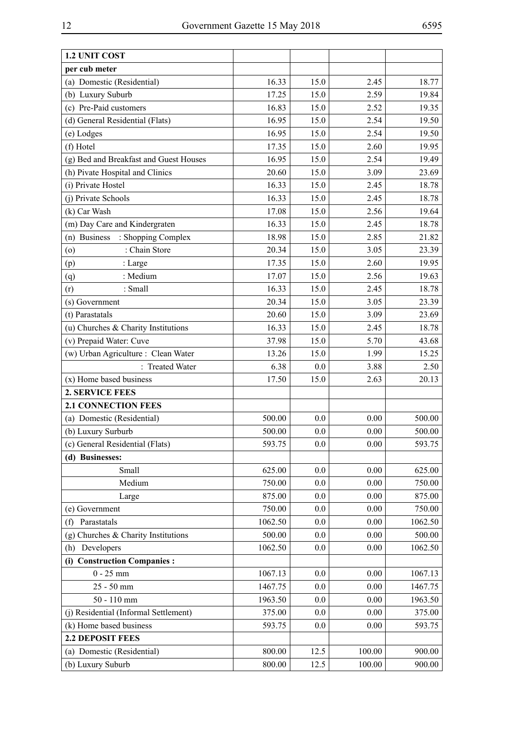| 1.2 UNIT COST                          |         |      |        |         |
|----------------------------------------|---------|------|--------|---------|
| per cub meter                          |         |      |        |         |
| (a) Domestic (Residential)             | 16.33   | 15.0 | 2.45   | 18.77   |
| (b) Luxury Suburb                      | 17.25   | 15.0 | 2.59   | 19.84   |
| (c) Pre-Paid customers                 | 16.83   | 15.0 | 2.52   | 19.35   |
| (d) General Residential (Flats)        | 16.95   | 15.0 | 2.54   | 19.50   |
| (e) Lodges                             | 16.95   | 15.0 | 2.54   | 19.50   |
| (f) Hotel                              | 17.35   | 15.0 | 2.60   | 19.95   |
| (g) Bed and Breakfast and Guest Houses | 16.95   | 15.0 | 2.54   | 19.49   |
| (h) Pivate Hospital and Clinics        | 20.60   | 15.0 | 3.09   | 23.69   |
| (i) Private Hostel                     | 16.33   | 15.0 | 2.45   | 18.78   |
| (j) Private Schools                    | 16.33   | 15.0 | 2.45   | 18.78   |
| (k) Car Wash                           | 17.08   | 15.0 | 2.56   | 19.64   |
| (m) Day Care and Kindergraten          | 16.33   | 15.0 | 2.45   | 18.78   |
| (n) Business<br>: Shopping Complex     | 18.98   | 15.0 | 2.85   | 21.82   |
| : Chain Store<br>(0)                   | 20.34   | 15.0 | 3.05   | 23.39   |
| : Large<br>(p)                         | 17.35   | 15.0 | 2.60   | 19.95   |
| : Medium<br>(q)                        | 17.07   | 15.0 | 2.56   | 19.63   |
| (r)<br>: Small                         | 16.33   | 15.0 | 2.45   | 18.78   |
| (s) Government                         | 20.34   | 15.0 | 3.05   | 23.39   |
| (t) Parastatals                        | 20.60   | 15.0 | 3.09   | 23.69   |
| (u) Churches & Charity Institutions    | 16.33   | 15.0 | 2.45   | 18.78   |
| (v) Prepaid Water: Cuve                | 37.98   | 15.0 | 5.70   | 43.68   |
| (w) Urban Agriculture : Clean Water    | 13.26   | 15.0 | 1.99   | 15.25   |
| : Treated Water                        | 6.38    | 0.0  | 3.88   | 2.50    |
| (x) Home based business                | 17.50   | 15.0 | 2.63   | 20.13   |
| <b>2. SERVICE FEES</b>                 |         |      |        |         |
| <b>2.1 CONNECTION FEES</b>             |         |      |        |         |
| (a) Domestic (Residential)             | 500.00  | 0.0  | 0.00   | 500.00  |
| (b) Luxury Surburb                     | 500.00  | 0.0  | 0.00   | 500.00  |
| (c) General Residential (Flats)        | 593.75  | 0.0  | 0.00   | 593.75  |
| (d) Businesses:                        |         |      |        |         |
| Small                                  | 625.00  | 0.0  | 0.00   | 625.00  |
| Medium                                 | 750.00  | 0.0  | 0.00   | 750.00  |
| Large                                  | 875.00  | 0.0  | 0.00   | 875.00  |
| (e) Government                         | 750.00  | 0.0  | 0.00   | 750.00  |
| Parastatals<br>(f)                     | 1062.50 | 0.0  | 0.00   | 1062.50 |
| $(g)$ Churches & Charity Institutions  | 500.00  | 0.0  | 0.00   | 500.00  |
| Developers<br>(h)                      | 1062.50 | 0.0  | 0.00   | 1062.50 |
| (i) Construction Companies :           |         |      |        |         |
| $0 - 25$ mm                            | 1067.13 | 0.0  | 0.00   | 1067.13 |
| 25 - 50 mm                             | 1467.75 | 0.0  | 0.00   | 1467.75 |
| 50 - 110 mm                            | 1963.50 | 0.0  | 0.00   | 1963.50 |
| (j) Residential (Informal Settlement)  | 375.00  | 0.0  | 0.00   | 375.00  |
| (k) Home based business                | 593.75  | 0.0  | 0.00   | 593.75  |
| <b>2.2 DEPOSIT FEES</b>                |         |      |        |         |
| (a) Domestic (Residential)             | 800.00  | 12.5 | 100.00 | 900.00  |
| (b) Luxury Suburb                      | 800.00  | 12.5 | 100.00 | 900.00  |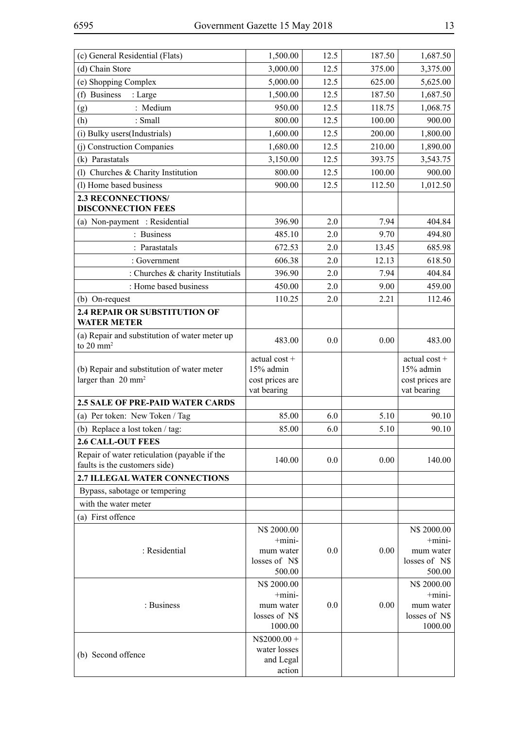| (c) General Residential (Flats)                                               | 1,500.00                                                          | 12.5 | 187.50 | 1,687.50                                                             |
|-------------------------------------------------------------------------------|-------------------------------------------------------------------|------|--------|----------------------------------------------------------------------|
| (d) Chain Store                                                               | 3,000.00                                                          | 12.5 | 375.00 | 3,375.00                                                             |
| (e) Shopping Complex                                                          | 5,000.00                                                          | 12.5 | 625.00 | 5,625.00                                                             |
| (f) Business<br>: Large                                                       | 1,500.00                                                          | 12.5 | 187.50 | 1,687.50                                                             |
| : Medium<br>(g)                                                               | 950.00                                                            | 12.5 | 118.75 | 1,068.75                                                             |
| : Small<br>(h)                                                                | 800.00                                                            | 12.5 | 100.00 | 900.00                                                               |
| (i) Bulky users (Industrials)                                                 | 1,600.00                                                          | 12.5 | 200.00 | 1,800.00                                                             |
| (j) Construction Companies                                                    | 1,680.00                                                          | 12.5 | 210.00 | 1,890.00                                                             |
| (k) Parastatals                                                               | 3,150.00                                                          | 12.5 | 393.75 | 3,543.75                                                             |
| (l) Churches & Charity Institution                                            | 800.00                                                            | 12.5 | 100.00 | 900.00                                                               |
| (1) Home based business                                                       | 900.00                                                            | 12.5 | 112.50 | 1,012.50                                                             |
| <b>2.3 RECONNECTIONS/</b><br><b>DISCONNECTION FEES</b>                        |                                                                   |      |        |                                                                      |
| (a) Non-payment : Residential                                                 | 396.90                                                            | 2.0  | 7.94   | 404.84                                                               |
| : Business                                                                    | 485.10                                                            | 2.0  | 9.70   | 494.80                                                               |
| : Parastatals                                                                 | 672.53                                                            | 2.0  | 13.45  | 685.98                                                               |
| : Government                                                                  | 606.38                                                            | 2.0  | 12.13  | 618.50                                                               |
| : Churches & charity Institutials                                             | 396.90                                                            | 2.0  | 7.94   | 404.84                                                               |
| : Home based business                                                         | 450.00                                                            | 2.0  | 9.00   | 459.00                                                               |
| (b) On-request                                                                | 110.25                                                            | 2.0  | 2.21   | 112.46                                                               |
| 2.4 REPAIR OR SUBSTITUTION OF<br><b>WATER METER</b>                           |                                                                   |      |        |                                                                      |
| (a) Repair and substitution of water meter up<br>to $20 \text{ mm}^2$         | 483.00                                                            | 0.0  | 0.00   | 483.00                                                               |
| (b) Repair and substitution of water meter<br>larger than 20 mm <sup>2</sup>  | actual cost +<br>15% admin<br>cost prices are<br>vat bearing      |      |        | actual cost +<br>15% admin<br>cost prices are<br>vat bearing         |
| <b>2.5 SALE OF PRE-PAID WATER CARDS</b>                                       |                                                                   |      |        |                                                                      |
| (a) Per token: New Token / Tag                                                | 85.00                                                             | 6.0  | 5.10   | 90.10                                                                |
| (b) Replace a lost token / tag:                                               | 85.00                                                             | 6.0  | 5.10   | 90.10                                                                |
| <b>2.6 CALL-OUT FEES</b>                                                      |                                                                   |      |        |                                                                      |
| Repair of water reticulation (payable if the<br>faults is the customers side) | 140.00                                                            | 0.0  | 0.00   | 140.00                                                               |
| <b>2.7 ILLEGAL WATER CONNECTIONS</b>                                          |                                                                   |      |        |                                                                      |
| Bypass, sabotage or tempering                                                 |                                                                   |      |        |                                                                      |
| with the water meter                                                          |                                                                   |      |        |                                                                      |
| (a) First offence                                                             |                                                                   |      |        |                                                                      |
| : Residential                                                                 | N\$ 2000.00<br>$+$ mini-<br>mum water                             | 0.0  | 0.00   | N\$ 2000.00<br>$+$ mini-<br>mum water                                |
|                                                                               | losses of N\$<br>500.00                                           |      |        | losses of N\$<br>500.00                                              |
| : Business                                                                    | N\$ 2000.00<br>$+$ mini-<br>mum water<br>losses of N\$<br>1000.00 | 0.0  | 0.00   | N\$ 2000.00<br>$+$ mini $-$<br>mum water<br>losses of N\$<br>1000.00 |
| (b) Second offence                                                            | $N$2000.00 +$<br>water losses<br>and Legal<br>action              |      |        |                                                                      |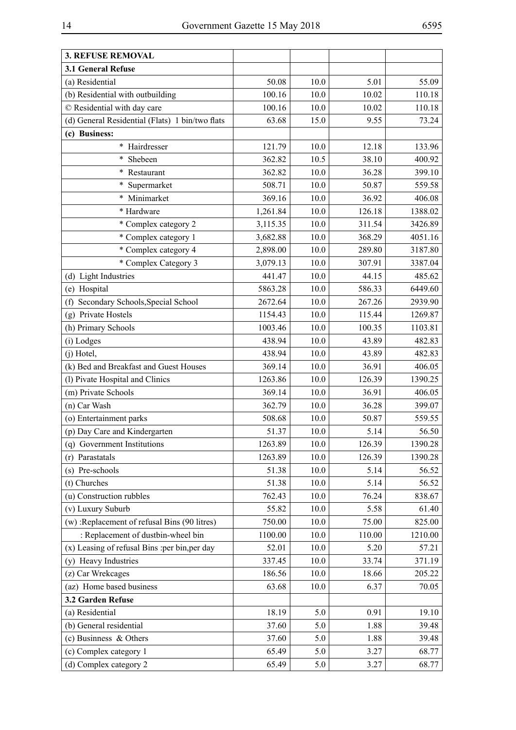|--|

| 3.1 General Refuse<br>(a) Residential<br>50.08<br>10.0<br>5.01<br>55.09<br>(b) Residential with outbuilding<br>100.16<br>10.0<br>10.02<br>110.18<br>© Residential with day care<br>100.16<br>10.0<br>10.02<br>110.18<br>(d) General Residential (Flats) 1 bin/two flats<br>63.68<br>15.0<br>73.24<br>9.55<br>(c) Business:<br>* Hairdresser<br>121.79<br>10.0<br>12.18<br>133.96<br>10.5<br>362.82<br>38.10<br>400.92<br>$\ast$<br>Shebeen<br>$\ast$<br>362.82<br>10.0<br>36.28<br>399.10<br>Restaurant<br>10.0<br>50.87<br>$\ast$<br>Supermarket<br>508.71<br>559.58<br>Minimarket<br>$\ast$<br>369.16<br>10.0<br>36.92<br>406.08<br>10.0<br>126.18<br>1388.02<br>* Hardware<br>1,261.84<br>* Complex category 2<br>10.0<br>311.54<br>3,115.35<br>3426.89<br>* Complex category 1<br>10.0<br>368.29<br>3,682.88<br>4051.16<br>* Complex category 4<br>10.0<br>289.80<br>3187.80<br>2,898.00<br>* Complex Category 3<br>3,079.13<br>10.0<br>307.91<br>3387.04<br>441.47<br>10.0<br>44.15<br>(d) Light Industries<br>485.62<br>10.0<br>586.33<br>6449.60<br>(e) Hospital<br>5863.28<br>Secondary Schools, Special School<br>10.0<br>267.26<br>2672.64<br>2939.90<br>(f)<br>(g) Private Hostels<br>10.0<br>115.44<br>1154.43<br>1269.87<br>(h) Primary Schools<br>1003.46<br>10.0<br>100.35<br>1103.81<br>10.0<br>43.89<br>(i) Lodges<br>438.94<br>482.83<br>$(i)$ Hotel,<br>438.94<br>10.0<br>43.89<br>482.83<br>(k) Bed and Breakfast and Guest Houses<br>369.14<br>10.0<br>36.91<br>406.05<br>10.0<br>(l) Pivate Hospital and Clinics<br>1263.86<br>126.39<br>1390.25<br>(m) Private Schools<br>10.0<br>36.91<br>369.14<br>406.05<br>(n) Car Wash<br>362.79<br>10.0<br>36.28<br>399.07<br>(o) Entertainment parks<br>10.0<br>508.68<br>50.87<br>559.55<br>(p) Day Care and Kindergarten<br>51.37<br>10.0<br>56.50<br>5.14<br>1263.89<br>10.0<br>126.39<br>1390.28<br>(q) Government Institutions<br>1263.89<br>126.39<br>(r) Parastatals<br>10.0<br>1390.28<br>(s) Pre-schools<br>51.38<br>10.0<br>5.14<br>56.52<br>(t) Churches<br>51.38<br>10.0<br>5.14<br>56.52<br>(u) Construction rubbles<br>762.43<br>10.0<br>76.24<br>838.67<br>(v) Luxury Suburb<br>55.82<br>10.0<br>5.58<br>61.40<br>(w) : Replacement of refusal Bins (90 litres)<br>750.00<br>10.0<br>75.00<br>825.00<br>: Replacement of dustbin-wheel bin<br>1210.00<br>1100.00<br>10.0<br>110.00<br>$(x)$ Leasing of refusal Bins : per bin, per day<br>52.01<br>10.0<br>5.20<br>57.21<br>(y) Heavy Industries<br>337.45<br>10.0<br>33.74<br>371.19<br>(z) Car Wrekcages<br>186.56<br>10.0<br>18.66<br>205.22<br>(az) Home based business<br>63.68<br>10.0<br>6.37<br>70.05<br>3.2 Garden Refuse<br>(a) Residential<br>18.19<br>0.91<br>19.10<br>5.0<br>(b) General residential<br>5.0<br>39.48<br>37.60<br>1.88<br>(c) Businness & Others<br>1.88<br>39.48<br>37.60<br>5.0<br>(c) Complex category 1<br>65.49<br>5.0<br>3.27<br>68.77 | <b>3. REFUSE REMOVAL</b> |       |     |      |       |
|-------------------------------------------------------------------------------------------------------------------------------------------------------------------------------------------------------------------------------------------------------------------------------------------------------------------------------------------------------------------------------------------------------------------------------------------------------------------------------------------------------------------------------------------------------------------------------------------------------------------------------------------------------------------------------------------------------------------------------------------------------------------------------------------------------------------------------------------------------------------------------------------------------------------------------------------------------------------------------------------------------------------------------------------------------------------------------------------------------------------------------------------------------------------------------------------------------------------------------------------------------------------------------------------------------------------------------------------------------------------------------------------------------------------------------------------------------------------------------------------------------------------------------------------------------------------------------------------------------------------------------------------------------------------------------------------------------------------------------------------------------------------------------------------------------------------------------------------------------------------------------------------------------------------------------------------------------------------------------------------------------------------------------------------------------------------------------------------------------------------------------------------------------------------------------------------------------------------------------------------------------------------------------------------------------------------------------------------------------------------------------------------------------------------------------------------------------------------------------------------------------------------------------------------------------------------------------------------------------------------------------------------------------------------------------------------------------------------------------------------------------------------------------------------------------------------------------------------------------------------------------------------------------|--------------------------|-------|-----|------|-------|
|                                                                                                                                                                                                                                                                                                                                                                                                                                                                                                                                                                                                                                                                                                                                                                                                                                                                                                                                                                                                                                                                                                                                                                                                                                                                                                                                                                                                                                                                                                                                                                                                                                                                                                                                                                                                                                                                                                                                                                                                                                                                                                                                                                                                                                                                                                                                                                                                                                                                                                                                                                                                                                                                                                                                                                                                                                                                                                       |                          |       |     |      |       |
|                                                                                                                                                                                                                                                                                                                                                                                                                                                                                                                                                                                                                                                                                                                                                                                                                                                                                                                                                                                                                                                                                                                                                                                                                                                                                                                                                                                                                                                                                                                                                                                                                                                                                                                                                                                                                                                                                                                                                                                                                                                                                                                                                                                                                                                                                                                                                                                                                                                                                                                                                                                                                                                                                                                                                                                                                                                                                                       |                          |       |     |      |       |
|                                                                                                                                                                                                                                                                                                                                                                                                                                                                                                                                                                                                                                                                                                                                                                                                                                                                                                                                                                                                                                                                                                                                                                                                                                                                                                                                                                                                                                                                                                                                                                                                                                                                                                                                                                                                                                                                                                                                                                                                                                                                                                                                                                                                                                                                                                                                                                                                                                                                                                                                                                                                                                                                                                                                                                                                                                                                                                       |                          |       |     |      |       |
|                                                                                                                                                                                                                                                                                                                                                                                                                                                                                                                                                                                                                                                                                                                                                                                                                                                                                                                                                                                                                                                                                                                                                                                                                                                                                                                                                                                                                                                                                                                                                                                                                                                                                                                                                                                                                                                                                                                                                                                                                                                                                                                                                                                                                                                                                                                                                                                                                                                                                                                                                                                                                                                                                                                                                                                                                                                                                                       |                          |       |     |      |       |
|                                                                                                                                                                                                                                                                                                                                                                                                                                                                                                                                                                                                                                                                                                                                                                                                                                                                                                                                                                                                                                                                                                                                                                                                                                                                                                                                                                                                                                                                                                                                                                                                                                                                                                                                                                                                                                                                                                                                                                                                                                                                                                                                                                                                                                                                                                                                                                                                                                                                                                                                                                                                                                                                                                                                                                                                                                                                                                       |                          |       |     |      |       |
|                                                                                                                                                                                                                                                                                                                                                                                                                                                                                                                                                                                                                                                                                                                                                                                                                                                                                                                                                                                                                                                                                                                                                                                                                                                                                                                                                                                                                                                                                                                                                                                                                                                                                                                                                                                                                                                                                                                                                                                                                                                                                                                                                                                                                                                                                                                                                                                                                                                                                                                                                                                                                                                                                                                                                                                                                                                                                                       |                          |       |     |      |       |
|                                                                                                                                                                                                                                                                                                                                                                                                                                                                                                                                                                                                                                                                                                                                                                                                                                                                                                                                                                                                                                                                                                                                                                                                                                                                                                                                                                                                                                                                                                                                                                                                                                                                                                                                                                                                                                                                                                                                                                                                                                                                                                                                                                                                                                                                                                                                                                                                                                                                                                                                                                                                                                                                                                                                                                                                                                                                                                       |                          |       |     |      |       |
|                                                                                                                                                                                                                                                                                                                                                                                                                                                                                                                                                                                                                                                                                                                                                                                                                                                                                                                                                                                                                                                                                                                                                                                                                                                                                                                                                                                                                                                                                                                                                                                                                                                                                                                                                                                                                                                                                                                                                                                                                                                                                                                                                                                                                                                                                                                                                                                                                                                                                                                                                                                                                                                                                                                                                                                                                                                                                                       |                          |       |     |      |       |
|                                                                                                                                                                                                                                                                                                                                                                                                                                                                                                                                                                                                                                                                                                                                                                                                                                                                                                                                                                                                                                                                                                                                                                                                                                                                                                                                                                                                                                                                                                                                                                                                                                                                                                                                                                                                                                                                                                                                                                                                                                                                                                                                                                                                                                                                                                                                                                                                                                                                                                                                                                                                                                                                                                                                                                                                                                                                                                       |                          |       |     |      |       |
|                                                                                                                                                                                                                                                                                                                                                                                                                                                                                                                                                                                                                                                                                                                                                                                                                                                                                                                                                                                                                                                                                                                                                                                                                                                                                                                                                                                                                                                                                                                                                                                                                                                                                                                                                                                                                                                                                                                                                                                                                                                                                                                                                                                                                                                                                                                                                                                                                                                                                                                                                                                                                                                                                                                                                                                                                                                                                                       |                          |       |     |      |       |
|                                                                                                                                                                                                                                                                                                                                                                                                                                                                                                                                                                                                                                                                                                                                                                                                                                                                                                                                                                                                                                                                                                                                                                                                                                                                                                                                                                                                                                                                                                                                                                                                                                                                                                                                                                                                                                                                                                                                                                                                                                                                                                                                                                                                                                                                                                                                                                                                                                                                                                                                                                                                                                                                                                                                                                                                                                                                                                       |                          |       |     |      |       |
|                                                                                                                                                                                                                                                                                                                                                                                                                                                                                                                                                                                                                                                                                                                                                                                                                                                                                                                                                                                                                                                                                                                                                                                                                                                                                                                                                                                                                                                                                                                                                                                                                                                                                                                                                                                                                                                                                                                                                                                                                                                                                                                                                                                                                                                                                                                                                                                                                                                                                                                                                                                                                                                                                                                                                                                                                                                                                                       |                          |       |     |      |       |
|                                                                                                                                                                                                                                                                                                                                                                                                                                                                                                                                                                                                                                                                                                                                                                                                                                                                                                                                                                                                                                                                                                                                                                                                                                                                                                                                                                                                                                                                                                                                                                                                                                                                                                                                                                                                                                                                                                                                                                                                                                                                                                                                                                                                                                                                                                                                                                                                                                                                                                                                                                                                                                                                                                                                                                                                                                                                                                       |                          |       |     |      |       |
|                                                                                                                                                                                                                                                                                                                                                                                                                                                                                                                                                                                                                                                                                                                                                                                                                                                                                                                                                                                                                                                                                                                                                                                                                                                                                                                                                                                                                                                                                                                                                                                                                                                                                                                                                                                                                                                                                                                                                                                                                                                                                                                                                                                                                                                                                                                                                                                                                                                                                                                                                                                                                                                                                                                                                                                                                                                                                                       |                          |       |     |      |       |
|                                                                                                                                                                                                                                                                                                                                                                                                                                                                                                                                                                                                                                                                                                                                                                                                                                                                                                                                                                                                                                                                                                                                                                                                                                                                                                                                                                                                                                                                                                                                                                                                                                                                                                                                                                                                                                                                                                                                                                                                                                                                                                                                                                                                                                                                                                                                                                                                                                                                                                                                                                                                                                                                                                                                                                                                                                                                                                       |                          |       |     |      |       |
|                                                                                                                                                                                                                                                                                                                                                                                                                                                                                                                                                                                                                                                                                                                                                                                                                                                                                                                                                                                                                                                                                                                                                                                                                                                                                                                                                                                                                                                                                                                                                                                                                                                                                                                                                                                                                                                                                                                                                                                                                                                                                                                                                                                                                                                                                                                                                                                                                                                                                                                                                                                                                                                                                                                                                                                                                                                                                                       |                          |       |     |      |       |
|                                                                                                                                                                                                                                                                                                                                                                                                                                                                                                                                                                                                                                                                                                                                                                                                                                                                                                                                                                                                                                                                                                                                                                                                                                                                                                                                                                                                                                                                                                                                                                                                                                                                                                                                                                                                                                                                                                                                                                                                                                                                                                                                                                                                                                                                                                                                                                                                                                                                                                                                                                                                                                                                                                                                                                                                                                                                                                       |                          |       |     |      |       |
|                                                                                                                                                                                                                                                                                                                                                                                                                                                                                                                                                                                                                                                                                                                                                                                                                                                                                                                                                                                                                                                                                                                                                                                                                                                                                                                                                                                                                                                                                                                                                                                                                                                                                                                                                                                                                                                                                                                                                                                                                                                                                                                                                                                                                                                                                                                                                                                                                                                                                                                                                                                                                                                                                                                                                                                                                                                                                                       |                          |       |     |      |       |
|                                                                                                                                                                                                                                                                                                                                                                                                                                                                                                                                                                                                                                                                                                                                                                                                                                                                                                                                                                                                                                                                                                                                                                                                                                                                                                                                                                                                                                                                                                                                                                                                                                                                                                                                                                                                                                                                                                                                                                                                                                                                                                                                                                                                                                                                                                                                                                                                                                                                                                                                                                                                                                                                                                                                                                                                                                                                                                       |                          |       |     |      |       |
|                                                                                                                                                                                                                                                                                                                                                                                                                                                                                                                                                                                                                                                                                                                                                                                                                                                                                                                                                                                                                                                                                                                                                                                                                                                                                                                                                                                                                                                                                                                                                                                                                                                                                                                                                                                                                                                                                                                                                                                                                                                                                                                                                                                                                                                                                                                                                                                                                                                                                                                                                                                                                                                                                                                                                                                                                                                                                                       |                          |       |     |      |       |
|                                                                                                                                                                                                                                                                                                                                                                                                                                                                                                                                                                                                                                                                                                                                                                                                                                                                                                                                                                                                                                                                                                                                                                                                                                                                                                                                                                                                                                                                                                                                                                                                                                                                                                                                                                                                                                                                                                                                                                                                                                                                                                                                                                                                                                                                                                                                                                                                                                                                                                                                                                                                                                                                                                                                                                                                                                                                                                       |                          |       |     |      |       |
|                                                                                                                                                                                                                                                                                                                                                                                                                                                                                                                                                                                                                                                                                                                                                                                                                                                                                                                                                                                                                                                                                                                                                                                                                                                                                                                                                                                                                                                                                                                                                                                                                                                                                                                                                                                                                                                                                                                                                                                                                                                                                                                                                                                                                                                                                                                                                                                                                                                                                                                                                                                                                                                                                                                                                                                                                                                                                                       |                          |       |     |      |       |
|                                                                                                                                                                                                                                                                                                                                                                                                                                                                                                                                                                                                                                                                                                                                                                                                                                                                                                                                                                                                                                                                                                                                                                                                                                                                                                                                                                                                                                                                                                                                                                                                                                                                                                                                                                                                                                                                                                                                                                                                                                                                                                                                                                                                                                                                                                                                                                                                                                                                                                                                                                                                                                                                                                                                                                                                                                                                                                       |                          |       |     |      |       |
|                                                                                                                                                                                                                                                                                                                                                                                                                                                                                                                                                                                                                                                                                                                                                                                                                                                                                                                                                                                                                                                                                                                                                                                                                                                                                                                                                                                                                                                                                                                                                                                                                                                                                                                                                                                                                                                                                                                                                                                                                                                                                                                                                                                                                                                                                                                                                                                                                                                                                                                                                                                                                                                                                                                                                                                                                                                                                                       |                          |       |     |      |       |
|                                                                                                                                                                                                                                                                                                                                                                                                                                                                                                                                                                                                                                                                                                                                                                                                                                                                                                                                                                                                                                                                                                                                                                                                                                                                                                                                                                                                                                                                                                                                                                                                                                                                                                                                                                                                                                                                                                                                                                                                                                                                                                                                                                                                                                                                                                                                                                                                                                                                                                                                                                                                                                                                                                                                                                                                                                                                                                       |                          |       |     |      |       |
|                                                                                                                                                                                                                                                                                                                                                                                                                                                                                                                                                                                                                                                                                                                                                                                                                                                                                                                                                                                                                                                                                                                                                                                                                                                                                                                                                                                                                                                                                                                                                                                                                                                                                                                                                                                                                                                                                                                                                                                                                                                                                                                                                                                                                                                                                                                                                                                                                                                                                                                                                                                                                                                                                                                                                                                                                                                                                                       |                          |       |     |      |       |
|                                                                                                                                                                                                                                                                                                                                                                                                                                                                                                                                                                                                                                                                                                                                                                                                                                                                                                                                                                                                                                                                                                                                                                                                                                                                                                                                                                                                                                                                                                                                                                                                                                                                                                                                                                                                                                                                                                                                                                                                                                                                                                                                                                                                                                                                                                                                                                                                                                                                                                                                                                                                                                                                                                                                                                                                                                                                                                       |                          |       |     |      |       |
|                                                                                                                                                                                                                                                                                                                                                                                                                                                                                                                                                                                                                                                                                                                                                                                                                                                                                                                                                                                                                                                                                                                                                                                                                                                                                                                                                                                                                                                                                                                                                                                                                                                                                                                                                                                                                                                                                                                                                                                                                                                                                                                                                                                                                                                                                                                                                                                                                                                                                                                                                                                                                                                                                                                                                                                                                                                                                                       |                          |       |     |      |       |
|                                                                                                                                                                                                                                                                                                                                                                                                                                                                                                                                                                                                                                                                                                                                                                                                                                                                                                                                                                                                                                                                                                                                                                                                                                                                                                                                                                                                                                                                                                                                                                                                                                                                                                                                                                                                                                                                                                                                                                                                                                                                                                                                                                                                                                                                                                                                                                                                                                                                                                                                                                                                                                                                                                                                                                                                                                                                                                       |                          |       |     |      |       |
|                                                                                                                                                                                                                                                                                                                                                                                                                                                                                                                                                                                                                                                                                                                                                                                                                                                                                                                                                                                                                                                                                                                                                                                                                                                                                                                                                                                                                                                                                                                                                                                                                                                                                                                                                                                                                                                                                                                                                                                                                                                                                                                                                                                                                                                                                                                                                                                                                                                                                                                                                                                                                                                                                                                                                                                                                                                                                                       |                          |       |     |      |       |
|                                                                                                                                                                                                                                                                                                                                                                                                                                                                                                                                                                                                                                                                                                                                                                                                                                                                                                                                                                                                                                                                                                                                                                                                                                                                                                                                                                                                                                                                                                                                                                                                                                                                                                                                                                                                                                                                                                                                                                                                                                                                                                                                                                                                                                                                                                                                                                                                                                                                                                                                                                                                                                                                                                                                                                                                                                                                                                       |                          |       |     |      |       |
|                                                                                                                                                                                                                                                                                                                                                                                                                                                                                                                                                                                                                                                                                                                                                                                                                                                                                                                                                                                                                                                                                                                                                                                                                                                                                                                                                                                                                                                                                                                                                                                                                                                                                                                                                                                                                                                                                                                                                                                                                                                                                                                                                                                                                                                                                                                                                                                                                                                                                                                                                                                                                                                                                                                                                                                                                                                                                                       |                          |       |     |      |       |
|                                                                                                                                                                                                                                                                                                                                                                                                                                                                                                                                                                                                                                                                                                                                                                                                                                                                                                                                                                                                                                                                                                                                                                                                                                                                                                                                                                                                                                                                                                                                                                                                                                                                                                                                                                                                                                                                                                                                                                                                                                                                                                                                                                                                                                                                                                                                                                                                                                                                                                                                                                                                                                                                                                                                                                                                                                                                                                       |                          |       |     |      |       |
|                                                                                                                                                                                                                                                                                                                                                                                                                                                                                                                                                                                                                                                                                                                                                                                                                                                                                                                                                                                                                                                                                                                                                                                                                                                                                                                                                                                                                                                                                                                                                                                                                                                                                                                                                                                                                                                                                                                                                                                                                                                                                                                                                                                                                                                                                                                                                                                                                                                                                                                                                                                                                                                                                                                                                                                                                                                                                                       |                          |       |     |      |       |
|                                                                                                                                                                                                                                                                                                                                                                                                                                                                                                                                                                                                                                                                                                                                                                                                                                                                                                                                                                                                                                                                                                                                                                                                                                                                                                                                                                                                                                                                                                                                                                                                                                                                                                                                                                                                                                                                                                                                                                                                                                                                                                                                                                                                                                                                                                                                                                                                                                                                                                                                                                                                                                                                                                                                                                                                                                                                                                       |                          |       |     |      |       |
|                                                                                                                                                                                                                                                                                                                                                                                                                                                                                                                                                                                                                                                                                                                                                                                                                                                                                                                                                                                                                                                                                                                                                                                                                                                                                                                                                                                                                                                                                                                                                                                                                                                                                                                                                                                                                                                                                                                                                                                                                                                                                                                                                                                                                                                                                                                                                                                                                                                                                                                                                                                                                                                                                                                                                                                                                                                                                                       |                          |       |     |      |       |
|                                                                                                                                                                                                                                                                                                                                                                                                                                                                                                                                                                                                                                                                                                                                                                                                                                                                                                                                                                                                                                                                                                                                                                                                                                                                                                                                                                                                                                                                                                                                                                                                                                                                                                                                                                                                                                                                                                                                                                                                                                                                                                                                                                                                                                                                                                                                                                                                                                                                                                                                                                                                                                                                                                                                                                                                                                                                                                       |                          |       |     |      |       |
|                                                                                                                                                                                                                                                                                                                                                                                                                                                                                                                                                                                                                                                                                                                                                                                                                                                                                                                                                                                                                                                                                                                                                                                                                                                                                                                                                                                                                                                                                                                                                                                                                                                                                                                                                                                                                                                                                                                                                                                                                                                                                                                                                                                                                                                                                                                                                                                                                                                                                                                                                                                                                                                                                                                                                                                                                                                                                                       |                          |       |     |      |       |
|                                                                                                                                                                                                                                                                                                                                                                                                                                                                                                                                                                                                                                                                                                                                                                                                                                                                                                                                                                                                                                                                                                                                                                                                                                                                                                                                                                                                                                                                                                                                                                                                                                                                                                                                                                                                                                                                                                                                                                                                                                                                                                                                                                                                                                                                                                                                                                                                                                                                                                                                                                                                                                                                                                                                                                                                                                                                                                       |                          |       |     |      |       |
|                                                                                                                                                                                                                                                                                                                                                                                                                                                                                                                                                                                                                                                                                                                                                                                                                                                                                                                                                                                                                                                                                                                                                                                                                                                                                                                                                                                                                                                                                                                                                                                                                                                                                                                                                                                                                                                                                                                                                                                                                                                                                                                                                                                                                                                                                                                                                                                                                                                                                                                                                                                                                                                                                                                                                                                                                                                                                                       |                          |       |     |      |       |
|                                                                                                                                                                                                                                                                                                                                                                                                                                                                                                                                                                                                                                                                                                                                                                                                                                                                                                                                                                                                                                                                                                                                                                                                                                                                                                                                                                                                                                                                                                                                                                                                                                                                                                                                                                                                                                                                                                                                                                                                                                                                                                                                                                                                                                                                                                                                                                                                                                                                                                                                                                                                                                                                                                                                                                                                                                                                                                       |                          |       |     |      |       |
|                                                                                                                                                                                                                                                                                                                                                                                                                                                                                                                                                                                                                                                                                                                                                                                                                                                                                                                                                                                                                                                                                                                                                                                                                                                                                                                                                                                                                                                                                                                                                                                                                                                                                                                                                                                                                                                                                                                                                                                                                                                                                                                                                                                                                                                                                                                                                                                                                                                                                                                                                                                                                                                                                                                                                                                                                                                                                                       |                          |       |     |      |       |
|                                                                                                                                                                                                                                                                                                                                                                                                                                                                                                                                                                                                                                                                                                                                                                                                                                                                                                                                                                                                                                                                                                                                                                                                                                                                                                                                                                                                                                                                                                                                                                                                                                                                                                                                                                                                                                                                                                                                                                                                                                                                                                                                                                                                                                                                                                                                                                                                                                                                                                                                                                                                                                                                                                                                                                                                                                                                                                       |                          |       |     |      |       |
|                                                                                                                                                                                                                                                                                                                                                                                                                                                                                                                                                                                                                                                                                                                                                                                                                                                                                                                                                                                                                                                                                                                                                                                                                                                                                                                                                                                                                                                                                                                                                                                                                                                                                                                                                                                                                                                                                                                                                                                                                                                                                                                                                                                                                                                                                                                                                                                                                                                                                                                                                                                                                                                                                                                                                                                                                                                                                                       |                          |       |     |      |       |
|                                                                                                                                                                                                                                                                                                                                                                                                                                                                                                                                                                                                                                                                                                                                                                                                                                                                                                                                                                                                                                                                                                                                                                                                                                                                                                                                                                                                                                                                                                                                                                                                                                                                                                                                                                                                                                                                                                                                                                                                                                                                                                                                                                                                                                                                                                                                                                                                                                                                                                                                                                                                                                                                                                                                                                                                                                                                                                       |                          |       |     |      |       |
|                                                                                                                                                                                                                                                                                                                                                                                                                                                                                                                                                                                                                                                                                                                                                                                                                                                                                                                                                                                                                                                                                                                                                                                                                                                                                                                                                                                                                                                                                                                                                                                                                                                                                                                                                                                                                                                                                                                                                                                                                                                                                                                                                                                                                                                                                                                                                                                                                                                                                                                                                                                                                                                                                                                                                                                                                                                                                                       |                          |       |     |      |       |
|                                                                                                                                                                                                                                                                                                                                                                                                                                                                                                                                                                                                                                                                                                                                                                                                                                                                                                                                                                                                                                                                                                                                                                                                                                                                                                                                                                                                                                                                                                                                                                                                                                                                                                                                                                                                                                                                                                                                                                                                                                                                                                                                                                                                                                                                                                                                                                                                                                                                                                                                                                                                                                                                                                                                                                                                                                                                                                       | (d) Complex category 2   | 65.49 | 5.0 | 3.27 | 68.77 |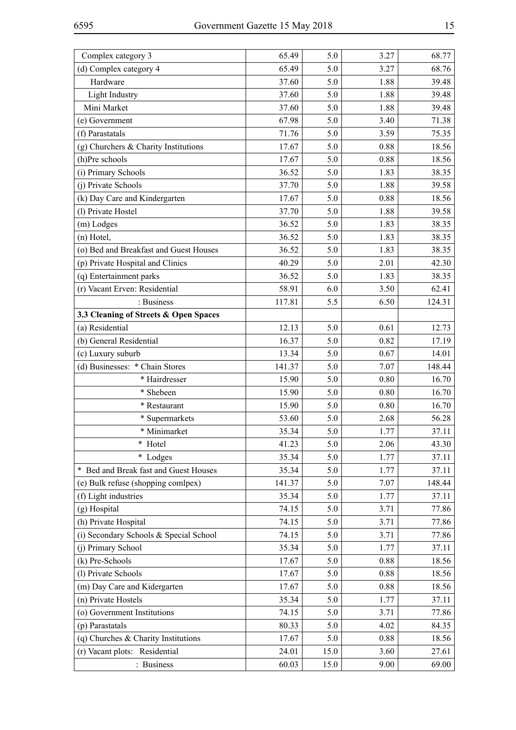| Complex category 3                     | 65.49  | 5.0  | 3.27 | 68.77  |
|----------------------------------------|--------|------|------|--------|
| (d) Complex category 4                 | 65.49  | 5.0  | 3.27 | 68.76  |
| Hardware                               | 37.60  | 5.0  | 1.88 | 39.48  |
| Light Industry                         | 37.60  | 5.0  | 1.88 | 39.48  |
| Mini Market                            | 37.60  | 5.0  | 1.88 | 39.48  |
| (e) Government                         | 67.98  | 5.0  | 3.40 | 71.38  |
| (f) Parastatals                        | 71.76  | 5.0  | 3.59 | 75.35  |
| (g) Churchers & Charity Institutions   | 17.67  | 5.0  | 0.88 | 18.56  |
| (h)Pre schools                         | 17.67  | 5.0  | 0.88 | 18.56  |
| (i) Primary Schools                    | 36.52  | 5.0  | 1.83 | 38.35  |
| (j) Private Schools                    | 37.70  | 5.0  | 1.88 | 39.58  |
| (k) Day Care and Kindergarten          | 17.67  | 5.0  | 0.88 | 18.56  |
| (1) Private Hostel                     | 37.70  | 5.0  | 1.88 | 39.58  |
| (m) Lodges                             | 36.52  | 5.0  | 1.83 | 38.35  |
| (n) Hotel,                             | 36.52  | 5.0  | 1.83 | 38.35  |
| (o) Bed and Breakfast and Guest Houses | 36.52  | 5.0  | 1.83 | 38.35  |
| (p) Private Hospital and Clinics       | 40.29  | 5.0  | 2.01 | 42.30  |
| (q) Entertainment parks                | 36.52  | 5.0  | 1.83 | 38.35  |
| (r) Vacant Erven: Residential          | 58.91  | 6.0  | 3.50 | 62.41  |
| : Business                             | 117.81 | 5.5  | 6.50 | 124.31 |
| 3.3 Cleaning of Streets & Open Spaces  |        |      |      |        |
| (a) Residential                        | 12.13  | 5.0  | 0.61 | 12.73  |
| (b) General Residential                | 16.37  | 5.0  | 0.82 | 17.19  |
| (c) Luxury suburb                      | 13.34  | 5.0  | 0.67 | 14.01  |
| (d) Businesses: * Chain Stores         | 141.37 | 5.0  | 7.07 | 148.44 |
| * Hairdresser                          | 15.90  | 5.0  | 0.80 | 16.70  |
| * Shebeen                              | 15.90  | 5.0  | 0.80 | 16.70  |
| * Restaurant                           | 15.90  | 5.0  | 0.80 | 16.70  |
| * Supermarkets                         | 53.60  | 5.0  | 2.68 | 56.28  |
| * Minimarket                           | 35.34  | 5.0  | 1.77 | 37.11  |
| * Hotel                                | 41.23  | 5.0  | 2.06 | 43.30  |
| * Lodges                               | 35.34  | 5.0  | 1.77 | 37.11  |
| * Bed and Break fast and Guest Houses  | 35.34  | 5.0  | 1.77 | 37.11  |
| (e) Bulk refuse (shopping comlpex)     | 141.37 | 5.0  | 7.07 | 148.44 |
| (f) Light industries                   | 35.34  | 5.0  | 1.77 | 37.11  |
| (g) Hospital                           | 74.15  | 5.0  | 3.71 | 77.86  |
| (h) Private Hospital                   | 74.15  | 5.0  | 3.71 | 77.86  |
| (i) Secondary Schools & Special School | 74.15  | 5.0  | 3.71 | 77.86  |
| (j) Primary School                     | 35.34  | 5.0  | 1.77 | 37.11  |
| (k) Pre-Schools                        | 17.67  | 5.0  | 0.88 | 18.56  |
| (1) Private Schools                    | 17.67  | 5.0  | 0.88 | 18.56  |
| (m) Day Care and Kidergarten           | 17.67  | 5.0  | 0.88 | 18.56  |
| (n) Private Hostels                    | 35.34  | 5.0  | 1.77 | 37.11  |
| (o) Government Institutions            | 74.15  | 5.0  | 3.71 | 77.86  |
| (p) Parastatals                        | 80.33  | 5.0  | 4.02 | 84.35  |
| $(q)$ Churches & Charity Institutions  | 17.67  | 5.0  | 0.88 | 18.56  |
| (r) Vacant plots: Residential          | 24.01  | 15.0 | 3.60 | 27.61  |
| : Business                             | 60.03  | 15.0 | 9.00 | 69.00  |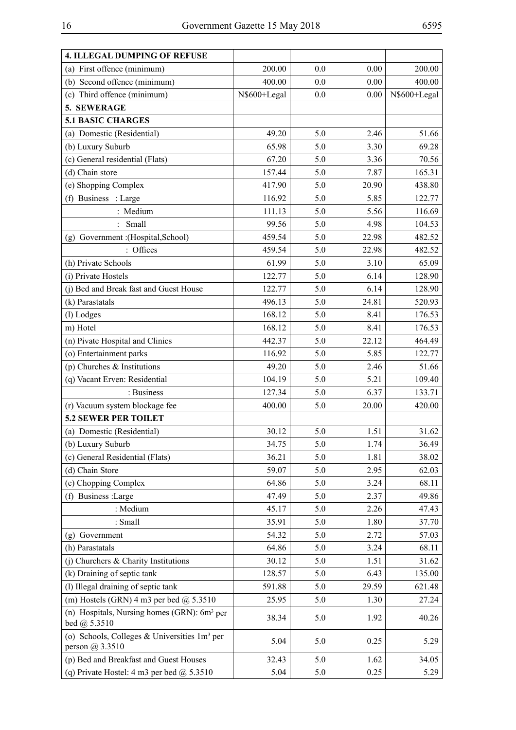$\overline{a}$ 

| 4. ILLEGAL DUMPING OF REFUSE                                            |              |     |       |              |
|-------------------------------------------------------------------------|--------------|-----|-------|--------------|
| (a) First offence (minimum)                                             | 200.00       | 0.0 | 0.00  | 200.00       |
| (b) Second offence (minimum)                                            | 400.00       | 0.0 | 0.00  | 400.00       |
| (c) Third offence (minimum)                                             | N\$600+Legal | 0.0 | 0.00  | N\$600+Legal |
| 5. SEWERAGE                                                             |              |     |       |              |
| <b>5.1 BASIC CHARGES</b>                                                |              |     |       |              |
| (a) Domestic (Residential)                                              | 49.20        | 5.0 | 2.46  | 51.66        |
| (b) Luxury Suburb                                                       | 65.98        | 5.0 | 3.30  | 69.28        |
| (c) General residential (Flats)                                         | 67.20        | 5.0 | 3.36  | 70.56        |
| (d) Chain store                                                         | 157.44       | 5.0 | 7.87  | 165.31       |
| (e) Shopping Complex                                                    | 417.90       | 5.0 | 20.90 | 438.80       |
| (f) Business : Large                                                    | 116.92       | 5.0 | 5.85  | 122.77       |
| : Medium                                                                | 111.13       | 5.0 | 5.56  | 116.69       |
| Small                                                                   | 99.56        | 5.0 | 4.98  | 104.53       |
| (g) Government : (Hospital, School)                                     | 459.54       | 5.0 | 22.98 | 482.52       |
| Offices                                                                 | 459.54       | 5.0 | 22.98 | 482.52       |
| (h) Private Schools                                                     | 61.99        | 5.0 | 3.10  | 65.09        |
| (i) Private Hostels                                                     | 122.77       | 5.0 | 6.14  | 128.90       |
| (j) Bed and Break fast and Guest House                                  | 122.77       | 5.0 | 6.14  | 128.90       |
| (k) Parastatals                                                         | 496.13       | 5.0 | 24.81 | 520.93       |
| (l) Lodges                                                              | 168.12       | 5.0 | 8.41  | 176.53       |
| m) Hotel                                                                | 168.12       | 5.0 | 8.41  | 176.53       |
| (n) Pivate Hospital and Clinics                                         | 442.37       | 5.0 | 22.12 | 464.49       |
| (o) Entertainment parks                                                 | 116.92       | 5.0 | 5.85  | 122.77       |
| (p) Churches $&$ Institutions                                           | 49.20        | 5.0 | 2.46  | 51.66        |
| (q) Vacant Erven: Residential                                           | 104.19       | 5.0 | 5.21  | 109.40       |
| : Business                                                              | 127.34       | 5.0 | 6.37  | 133.71       |
| (r) Vacuum system blockage fee                                          | 400.00       | 5.0 | 20.00 | 420.00       |
| <b>5.2 SEWER PER TOILET</b>                                             |              |     |       |              |
| (a) Domestic (Residential)                                              | 30.12        | 5.0 | 1.51  | 31.62        |
| (b) Luxury Suburb                                                       | 34.75        | 5.0 | 1.74  | 36.49        |
| (c) General Residential (Flats)                                         | 36.21        | 5.0 | 1.81  | 38.02        |
| (d) Chain Store                                                         | 59.07        | 5.0 | 2.95  | 62.03        |
| (e) Chopping Complex                                                    | 64.86        | 5.0 | 3.24  | 68.11        |
| (f) Business :Large                                                     | 47.49        | 5.0 | 2.37  | 49.86        |
| : Medium                                                                | 45.17        | 5.0 | 2.26  | 47.43        |
| : Small                                                                 | 35.91        | 5.0 | 1.80  | 37.70        |
| (g) Government                                                          | 54.32        | 5.0 | 2.72  | 57.03        |
| (h) Parastatals                                                         | 64.86        | 5.0 | 3.24  | 68.11        |
| (j) Churchers & Charity Institutions                                    | 30.12        | 5.0 | 1.51  | 31.62        |
| (k) Draining of septic tank                                             | 128.57       | 5.0 | 6.43  | 135.00       |
| (l) Illegal draining of septic tank                                     | 591.88       | 5.0 | 29.59 | 621.48       |
| (m) Hostels (GRN) 4 m3 per bed $@$ 5.3510                               | 25.95        | 5.0 | 1.30  | 27.24        |
| (n) Hospitals, Nursing homes (GRN): 6m <sup>3</sup> per<br>bed @ 5.3510 | 38.34        | 5.0 | 1.92  | 40.26        |
| (o) Schools, Colleges & Universities $1m3$ per<br>person $@3.3510$      | 5.04         | 5.0 | 0.25  | 5.29         |
| (p) Bed and Breakfast and Guest Houses                                  | 32.43        | 5.0 | 1.62  | 34.05        |
| (q) Private Hostel: 4 m3 per bed $\omega$ 5.3510                        | 5.04         | 5.0 | 0.25  | 5.29         |

H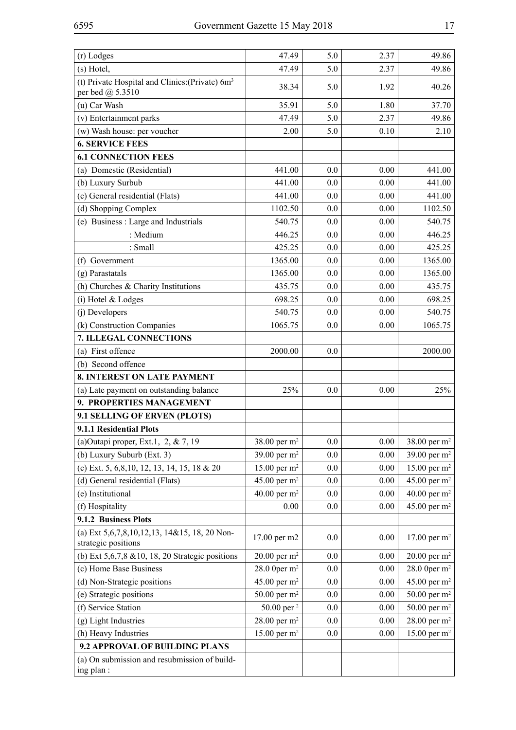| (r) Lodges                                                                      | 47.49                             | 5.0     | 2.37 | 49.86                    |
|---------------------------------------------------------------------------------|-----------------------------------|---------|------|--------------------------|
| (s) Hotel,                                                                      | 47.49                             | 5.0     | 2.37 | 49.86                    |
| (t) Private Hospital and Clinics: (Private) 6m <sup>3</sup><br>per bed @ 5.3510 | 38.34                             | 5.0     | 1.92 | 40.26                    |
| (u) Car Wash                                                                    | 35.91                             | 5.0     | 1.80 | 37.70                    |
| (v) Entertainment parks                                                         | 47.49                             | 5.0     | 2.37 | 49.86                    |
| (w) Wash house: per voucher                                                     | 2.00                              | 5.0     | 0.10 | 2.10                     |
| <b>6. SERVICE FEES</b>                                                          |                                   |         |      |                          |
| <b>6.1 CONNECTION FEES</b>                                                      |                                   |         |      |                          |
| (a) Domestic (Residential)                                                      | 441.00                            | 0.0     | 0.00 | 441.00                   |
| (b) Luxury Surbub                                                               | 441.00                            | 0.0     | 0.00 | 441.00                   |
| (c) General residential (Flats)                                                 | 441.00                            | 0.0     | 0.00 | 441.00                   |
| (d) Shopping Complex                                                            | 1102.50                           | 0.0     | 0.00 | 1102.50                  |
| (e) Business : Large and Industrials                                            | 540.75                            | 0.0     | 0.00 | 540.75                   |
| : Medium                                                                        | 446.25                            | 0.0     | 0.00 | 446.25                   |
| : Small                                                                         | 425.25                            | 0.0     | 0.00 | 425.25                   |
| (f) Government                                                                  | 1365.00                           | 0.0     | 0.00 | 1365.00                  |
| (g) Parastatals                                                                 | 1365.00                           | 0.0     | 0.00 | 1365.00                  |
| (h) Churches & Charity Institutions                                             | 435.75                            | 0.0     | 0.00 | 435.75                   |
| (i) Hotel & Lodges                                                              | 698.25                            | 0.0     | 0.00 | 698.25                   |
| (j) Developers                                                                  | 540.75                            | 0.0     | 0.00 | 540.75                   |
| (k) Construction Companies                                                      | 1065.75                           | 0.0     | 0.00 | 1065.75                  |
| 7. ILLEGAL CONNECTIONS                                                          |                                   |         |      |                          |
| (a) First offence                                                               | 2000.00                           | 0.0     |      | 2000.00                  |
| (b) Second offence                                                              |                                   |         |      |                          |
| 8. INTEREST ON LATE PAYMENT                                                     |                                   |         |      |                          |
| (a) Late payment on outstanding balance                                         | 25%                               | 0.0     | 0.00 | 25%                      |
| 9. PROPERTIES MANAGEMENT                                                        |                                   |         |      |                          |
| 9.1 SELLING OF ERVEN (PLOTS)                                                    |                                   |         |      |                          |
| 9.1.1 Residential Plots                                                         |                                   |         |      |                          |
| (a) Outapi proper, Ext.1, 2, & 7, 19                                            | 38.00 per m <sup>2</sup>          | $0.0\,$ | 0.00 | 38.00 per m <sup>2</sup> |
| (b) Luxury Suburb (Ext. 3)                                                      | 39.00 per $m^2$                   | 0.0     | 0.00 | 39.00 per $m^2$          |
| (c) Ext. 5, 6, 8, 10, 12, 13, 14, 15, 18 & 20                                   | 15.00 per $m^2$                   | 0.0     | 0.00 | 15.00 per $m^2$          |
| (d) General residential (Flats)                                                 | 45.00 per $m2$                    | 0.0     | 0.00 | 45.00 per $m2$           |
| (e) Institutional                                                               | 40.00 per $m^2$                   | 0.0     | 0.00 | 40.00 per $m^2$          |
| (f) Hospitality                                                                 | $0.00\,$                          | $0.0\,$ | 0.00 | 45.00 per $m2$           |
| 9.1.2 Business Plots                                                            |                                   |         |      |                          |
| (a) Ext 5, 6, 7, 8, 10, 12, 13, 14& 15, 18, 20 Non-                             | 17.00 per m2                      | $0.0\,$ | 0.00 | 17.00 per $m^2$          |
| strategic positions                                                             |                                   |         |      |                          |
| (b) Ext 5,6,7,8 & 10, 18, 20 Strategic positions                                | 20.00 per $m^2$<br>28.0 0per $m2$ | $0.0\,$ | 0.00 | 20.00 per $m^2$          |
| (c) Home Base Business                                                          |                                   | 0.0     | 0.00 | 28.0 0per $m^2$          |
| (d) Non-Strategic positions                                                     | 45.00 per $m^2$                   | 0.0     | 0.00 | 45.00 per $m^2$          |
| (e) Strategic positions                                                         | 50.00 per $m^2$                   | 0.0     | 0.00 | 50.00 per $m^2$          |
| (f) Service Station                                                             | 50.00 per <sup>2</sup>            | 0.0     | 0.00 | 50.00 per $m^2$          |
| (g) Light Industries                                                            | 28.00 per $m2$                    | $0.0\,$ | 0.00 | 28.00 per m <sup>2</sup> |
| (h) Heavy Industries                                                            | 15.00 per $m2$                    | 0.0     | 0.00 | 15.00 per $m^2$          |
| 9.2 APPROVAL OF BUILDING PLANS                                                  |                                   |         |      |                          |
| (a) On submission and resubmission of build-<br>ing plan:                       |                                   |         |      |                          |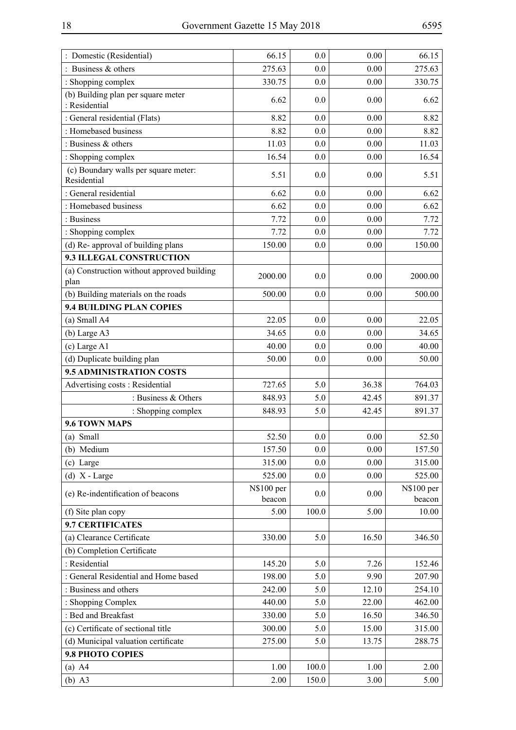| : Domestic (Residential)                            | 66.15                | 0.0     | 0.00  | 66.15                |
|-----------------------------------------------------|----------------------|---------|-------|----------------------|
| : Business $&$ others                               | 275.63               | 0.0     | 0.00  | 275.63               |
| : Shopping complex                                  | 330.75               | 0.0     | 0.00  | 330.75               |
| (b) Building plan per square meter<br>: Residential | 6.62                 | 0.0     | 0.00  | 6.62                 |
| : General residential (Flats)                       | 8.82                 | 0.0     | 0.00  | 8.82                 |
| : Homebased business                                | 8.82                 | 0.0     | 0.00  | 8.82                 |
| : Business & others                                 | 11.03                | 0.0     | 0.00  | 11.03                |
| : Shopping complex                                  | 16.54                | 0.0     | 0.00  | 16.54                |
| (c) Boundary walls per square meter:<br>Residential | 5.51                 | 0.0     | 0.00  | 5.51                 |
| : General residential                               | 6.62                 | 0.0     | 0.00  | 6.62                 |
| : Homebased business                                | 6.62                 | 0.0     | 0.00  | 6.62                 |
| : Business                                          | 7.72                 | 0.0     | 0.00  | 7.72                 |
| : Shopping complex                                  | 7.72                 | 0.0     | 0.00  | 7.72                 |
| (d) Re- approval of building plans                  | 150.00               | 0.0     | 0.00  | 150.00               |
| 9.3 ILLEGAL CONSTRUCTION                            |                      |         |       |                      |
| (a) Construction without approved building<br>plan  | 2000.00              | 0.0     | 0.00  | 2000.00              |
| (b) Building materials on the roads                 | 500.00               | 0.0     | 0.00  | 500.00               |
| <b>9.4 BUILDING PLAN COPIES</b>                     |                      |         |       |                      |
| (a) Small A4                                        | 22.05                | 0.0     | 0.00  | 22.05                |
| (b) Large A3                                        | 34.65                | 0.0     | 0.00  | 34.65                |
| (c) Large A1                                        | 40.00                | 0.0     | 0.00  | 40.00                |
| (d) Duplicate building plan                         | 50.00                | 0.0     | 0.00  | 50.00                |
| 9.5 ADMINISTRATION COSTS                            |                      |         |       |                      |
| Advertising costs: Residential                      | 727.65               | 5.0     | 36.38 | 764.03               |
| : Business & Others                                 | 848.93               | 5.0     | 42.45 | 891.37               |
| : Shopping complex                                  | 848.93               | 5.0     | 42.45 | 891.37               |
| 9.6 TOWN MAPS                                       |                      |         |       |                      |
| (a) Small                                           | 52.50                | $0.0\,$ | 0.00  | 52.50                |
| (b) Medium                                          | 157.50               | 0.0     | 0.00  | 157.50               |
| (c) Large                                           | 315.00               | 0.0     | 0.00  | 315.00               |
| $(d)$ X - Large                                     | 525.00               | 0.0     | 0.00  | 525.00               |
| (e) Re-indentification of beacons                   | N\$100 per<br>beacon | 0.0     | 0.00  | N\$100 per<br>beacon |
| (f) Site plan copy                                  | 5.00                 | 100.0   | 5.00  | 10.00                |
| 9.7 CERTIFICATES                                    |                      |         |       |                      |
| (a) Clearance Certificate                           | 330.00               | 5.0     | 16.50 | 346.50               |
| (b) Completion Certificate                          |                      |         |       |                      |
| : Residential                                       | 145.20               | 5.0     | 7.26  | 152.46               |
| : General Residential and Home based                | 198.00               | 5.0     | 9.90  | 207.90               |
| : Business and others                               | 242.00               | 5.0     | 12.10 | 254.10               |
| : Shopping Complex                                  | 440.00               | 5.0     | 22.00 | 462.00               |
| : Bed and Breakfast                                 | 330.00               | 5.0     | 16.50 | 346.50               |
| (c) Certificate of sectional title                  | 300.00               | 5.0     | 15.00 | 315.00               |
| (d) Municipal valuation certificate                 | 275.00               | 5.0     | 13.75 | 288.75               |
| 9.8 PHOTO COPIES                                    |                      |         |       |                      |
| $(a)$ A4                                            | 1.00                 | 100.0   | 1.00  | 2.00                 |
| $(b)$ A3                                            | 2.00                 | 150.0   | 3.00  | 5.00                 |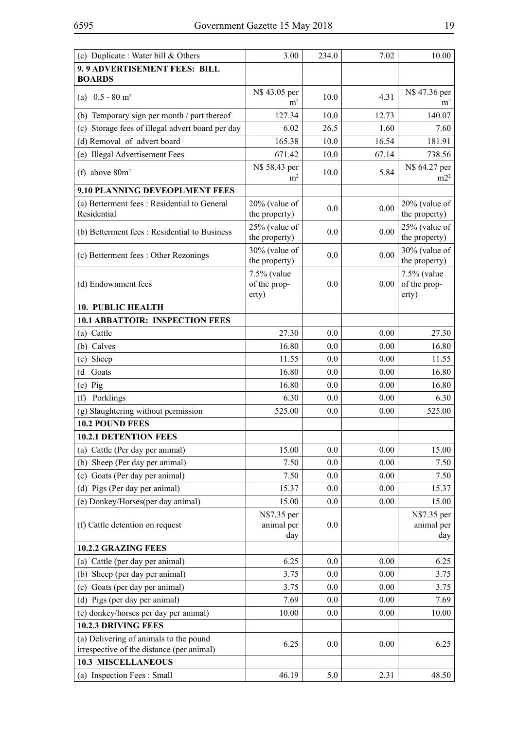| 9.9 ADVERTISEMENT FEES: BILL<br><b>BOARDS</b><br>N\$ 43.05 per<br>N\$ 47.36 per<br>4.31<br>(a) $0.5 - 80$ m <sup>2</sup><br>10.0<br>m <sup>2</sup><br>m <sup>2</sup><br>127.34<br>140.07<br>(b) Temporary sign per month / part thereof<br>10.0<br>12.73<br>(c) Storage fees of illegal advert board per day<br>26.5<br>6.02<br>1.60<br>7.60<br>(d) Removal of advert board<br>165.38<br>10.0<br>16.54<br>181.91<br>(e) Illegal Advertisement Fees<br>10.0<br>67.14<br>738.56<br>671.42<br>N\$ 58.43 per<br>N\$ 64.27 per<br>(f) above $80m^2$<br>10.0<br>5.84<br>m2 <sup>2</sup><br>m <sup>2</sup><br>9.10 PLANNING DEVEOPLMENT FEES<br>(a) Betterment fees: Residential to General<br>$20\%$ (value of<br>$20\%$ (value of<br>0.0<br>0.00<br>Residential<br>the property)<br>the property)<br>$25%$ (value of<br>25% (value of<br>0.0<br>0.00<br>(b) Betterment fees: Residential to Business<br>the property)<br>the property)<br>30% (value of<br>30% (value of<br>0.0<br>0.00<br>(c) Betterment fees : Other Rezonings<br>the property)<br>the property)<br>7.5% (value<br>7.5% (value<br>of the prop-<br>(d) Endownment fees<br>of the prop-<br>0.0<br>0.00<br>erty)<br>erty)<br><b>10. PUBLIC HEALTH</b><br><b>10.1 ABBATTOIR: INSPECTION FEES</b><br>(a) Cattle<br>27.30<br>0.00<br>27.30<br>0.0<br>(b) Calves<br>0.0<br>0.00<br>16.80<br>16.80<br>(c) Sheep<br>11.55<br>0.0<br>0.00<br>11.55<br>16.80<br>0.0<br>0.00<br>16.80<br>Goats<br>(d)<br>16.80<br>0.0<br>0.00<br>16.80<br>$(e)$ Pig<br>Porklings<br>6.30<br>0.0<br>6.30<br>0.00<br>(f)<br>(g) Slaughtering without permission<br>525.00<br>0.0<br>0.00<br>525.00<br>10.2 POUND FEES<br><b>10.2.1 DETENTION FEES</b><br>15.00<br>0.0<br>0.00<br>15.00<br>(a) Cattle (Per day per animal)<br>7.50<br>0.00<br>(b) Sheep (Per day per animal)<br>0.0<br>7.50<br>(c) Goats (Per day per animal)<br>0.00<br>7.50<br>0.0<br>7.50<br>(d) Pigs (Per day per animal)<br>0.00<br>15.37<br>0.0<br>15.37<br>(e) Donkey/Horses(per day animal)<br>15.00<br>0.0<br>0.00<br>15.00<br>N\$7.35 per<br>N\$7.35 per<br>(f) Cattle detention on request<br>animal per<br>0.0<br>animal per<br>day<br>day<br>10.2.2 GRAZING FEES<br>6.25<br>(a) Cattle (per day per animal)<br>6.25<br>0.0<br>0.00<br>(b) Sheep (per day per animal)<br>3.75<br>0.0<br>0.00<br>3.75<br>(c) Goats (per day per animal)<br>0.00<br>3.75<br>0.0<br>3.75<br>(d) Pigs (per day per animal)<br>7.69<br>0.00<br>7.69<br>0.0<br>(e) donkey/horses per day per animal)<br>10.00<br>10.00<br>0.0<br>0.00<br><b>10.2.3 DRIVING FEES</b><br>(a) Delivering of animals to the pound<br>6.25<br>0.0<br>0.00<br>6.25<br>irrespective of the distance (per animal)<br><b>10.3 MISCELLANEOUS</b><br>(a) Inspection Fees: Small<br>46.19<br>5.0<br>2.31<br>48.50 | (c) Duplicate: Water bill & Others | 3.00 | 234.0 | 7.02 | 10.00 |
|---------------------------------------------------------------------------------------------------------------------------------------------------------------------------------------------------------------------------------------------------------------------------------------------------------------------------------------------------------------------------------------------------------------------------------------------------------------------------------------------------------------------------------------------------------------------------------------------------------------------------------------------------------------------------------------------------------------------------------------------------------------------------------------------------------------------------------------------------------------------------------------------------------------------------------------------------------------------------------------------------------------------------------------------------------------------------------------------------------------------------------------------------------------------------------------------------------------------------------------------------------------------------------------------------------------------------------------------------------------------------------------------------------------------------------------------------------------------------------------------------------------------------------------------------------------------------------------------------------------------------------------------------------------------------------------------------------------------------------------------------------------------------------------------------------------------------------------------------------------------------------------------------------------------------------------------------------------------------------------------------------------------------------------------------------------------------------------------------------------------------------------------------------------------------------------------------------------------------------------------------------------------------------------------------------------------------------------------------------------------------------------------------------------------------------------------------------------------------------------------------------------------------------------------------------------------------------------------------------------------------------------------------------------------------------------------------------------------------------------------------------------------------|------------------------------------|------|-------|------|-------|
|                                                                                                                                                                                                                                                                                                                                                                                                                                                                                                                                                                                                                                                                                                                                                                                                                                                                                                                                                                                                                                                                                                                                                                                                                                                                                                                                                                                                                                                                                                                                                                                                                                                                                                                                                                                                                                                                                                                                                                                                                                                                                                                                                                                                                                                                                                                                                                                                                                                                                                                                                                                                                                                                                                                                                                           |                                    |      |       |      |       |
|                                                                                                                                                                                                                                                                                                                                                                                                                                                                                                                                                                                                                                                                                                                                                                                                                                                                                                                                                                                                                                                                                                                                                                                                                                                                                                                                                                                                                                                                                                                                                                                                                                                                                                                                                                                                                                                                                                                                                                                                                                                                                                                                                                                                                                                                                                                                                                                                                                                                                                                                                                                                                                                                                                                                                                           |                                    |      |       |      |       |
|                                                                                                                                                                                                                                                                                                                                                                                                                                                                                                                                                                                                                                                                                                                                                                                                                                                                                                                                                                                                                                                                                                                                                                                                                                                                                                                                                                                                                                                                                                                                                                                                                                                                                                                                                                                                                                                                                                                                                                                                                                                                                                                                                                                                                                                                                                                                                                                                                                                                                                                                                                                                                                                                                                                                                                           |                                    |      |       |      |       |
|                                                                                                                                                                                                                                                                                                                                                                                                                                                                                                                                                                                                                                                                                                                                                                                                                                                                                                                                                                                                                                                                                                                                                                                                                                                                                                                                                                                                                                                                                                                                                                                                                                                                                                                                                                                                                                                                                                                                                                                                                                                                                                                                                                                                                                                                                                                                                                                                                                                                                                                                                                                                                                                                                                                                                                           |                                    |      |       |      |       |
|                                                                                                                                                                                                                                                                                                                                                                                                                                                                                                                                                                                                                                                                                                                                                                                                                                                                                                                                                                                                                                                                                                                                                                                                                                                                                                                                                                                                                                                                                                                                                                                                                                                                                                                                                                                                                                                                                                                                                                                                                                                                                                                                                                                                                                                                                                                                                                                                                                                                                                                                                                                                                                                                                                                                                                           |                                    |      |       |      |       |
|                                                                                                                                                                                                                                                                                                                                                                                                                                                                                                                                                                                                                                                                                                                                                                                                                                                                                                                                                                                                                                                                                                                                                                                                                                                                                                                                                                                                                                                                                                                                                                                                                                                                                                                                                                                                                                                                                                                                                                                                                                                                                                                                                                                                                                                                                                                                                                                                                                                                                                                                                                                                                                                                                                                                                                           |                                    |      |       |      |       |
|                                                                                                                                                                                                                                                                                                                                                                                                                                                                                                                                                                                                                                                                                                                                                                                                                                                                                                                                                                                                                                                                                                                                                                                                                                                                                                                                                                                                                                                                                                                                                                                                                                                                                                                                                                                                                                                                                                                                                                                                                                                                                                                                                                                                                                                                                                                                                                                                                                                                                                                                                                                                                                                                                                                                                                           |                                    |      |       |      |       |
|                                                                                                                                                                                                                                                                                                                                                                                                                                                                                                                                                                                                                                                                                                                                                                                                                                                                                                                                                                                                                                                                                                                                                                                                                                                                                                                                                                                                                                                                                                                                                                                                                                                                                                                                                                                                                                                                                                                                                                                                                                                                                                                                                                                                                                                                                                                                                                                                                                                                                                                                                                                                                                                                                                                                                                           |                                    |      |       |      |       |
|                                                                                                                                                                                                                                                                                                                                                                                                                                                                                                                                                                                                                                                                                                                                                                                                                                                                                                                                                                                                                                                                                                                                                                                                                                                                                                                                                                                                                                                                                                                                                                                                                                                                                                                                                                                                                                                                                                                                                                                                                                                                                                                                                                                                                                                                                                                                                                                                                                                                                                                                                                                                                                                                                                                                                                           |                                    |      |       |      |       |
|                                                                                                                                                                                                                                                                                                                                                                                                                                                                                                                                                                                                                                                                                                                                                                                                                                                                                                                                                                                                                                                                                                                                                                                                                                                                                                                                                                                                                                                                                                                                                                                                                                                                                                                                                                                                                                                                                                                                                                                                                                                                                                                                                                                                                                                                                                                                                                                                                                                                                                                                                                                                                                                                                                                                                                           |                                    |      |       |      |       |
|                                                                                                                                                                                                                                                                                                                                                                                                                                                                                                                                                                                                                                                                                                                                                                                                                                                                                                                                                                                                                                                                                                                                                                                                                                                                                                                                                                                                                                                                                                                                                                                                                                                                                                                                                                                                                                                                                                                                                                                                                                                                                                                                                                                                                                                                                                                                                                                                                                                                                                                                                                                                                                                                                                                                                                           |                                    |      |       |      |       |
|                                                                                                                                                                                                                                                                                                                                                                                                                                                                                                                                                                                                                                                                                                                                                                                                                                                                                                                                                                                                                                                                                                                                                                                                                                                                                                                                                                                                                                                                                                                                                                                                                                                                                                                                                                                                                                                                                                                                                                                                                                                                                                                                                                                                                                                                                                                                                                                                                                                                                                                                                                                                                                                                                                                                                                           |                                    |      |       |      |       |
|                                                                                                                                                                                                                                                                                                                                                                                                                                                                                                                                                                                                                                                                                                                                                                                                                                                                                                                                                                                                                                                                                                                                                                                                                                                                                                                                                                                                                                                                                                                                                                                                                                                                                                                                                                                                                                                                                                                                                                                                                                                                                                                                                                                                                                                                                                                                                                                                                                                                                                                                                                                                                                                                                                                                                                           |                                    |      |       |      |       |
|                                                                                                                                                                                                                                                                                                                                                                                                                                                                                                                                                                                                                                                                                                                                                                                                                                                                                                                                                                                                                                                                                                                                                                                                                                                                                                                                                                                                                                                                                                                                                                                                                                                                                                                                                                                                                                                                                                                                                                                                                                                                                                                                                                                                                                                                                                                                                                                                                                                                                                                                                                                                                                                                                                                                                                           |                                    |      |       |      |       |
|                                                                                                                                                                                                                                                                                                                                                                                                                                                                                                                                                                                                                                                                                                                                                                                                                                                                                                                                                                                                                                                                                                                                                                                                                                                                                                                                                                                                                                                                                                                                                                                                                                                                                                                                                                                                                                                                                                                                                                                                                                                                                                                                                                                                                                                                                                                                                                                                                                                                                                                                                                                                                                                                                                                                                                           |                                    |      |       |      |       |
|                                                                                                                                                                                                                                                                                                                                                                                                                                                                                                                                                                                                                                                                                                                                                                                                                                                                                                                                                                                                                                                                                                                                                                                                                                                                                                                                                                                                                                                                                                                                                                                                                                                                                                                                                                                                                                                                                                                                                                                                                                                                                                                                                                                                                                                                                                                                                                                                                                                                                                                                                                                                                                                                                                                                                                           |                                    |      |       |      |       |
|                                                                                                                                                                                                                                                                                                                                                                                                                                                                                                                                                                                                                                                                                                                                                                                                                                                                                                                                                                                                                                                                                                                                                                                                                                                                                                                                                                                                                                                                                                                                                                                                                                                                                                                                                                                                                                                                                                                                                                                                                                                                                                                                                                                                                                                                                                                                                                                                                                                                                                                                                                                                                                                                                                                                                                           |                                    |      |       |      |       |
|                                                                                                                                                                                                                                                                                                                                                                                                                                                                                                                                                                                                                                                                                                                                                                                                                                                                                                                                                                                                                                                                                                                                                                                                                                                                                                                                                                                                                                                                                                                                                                                                                                                                                                                                                                                                                                                                                                                                                                                                                                                                                                                                                                                                                                                                                                                                                                                                                                                                                                                                                                                                                                                                                                                                                                           |                                    |      |       |      |       |
|                                                                                                                                                                                                                                                                                                                                                                                                                                                                                                                                                                                                                                                                                                                                                                                                                                                                                                                                                                                                                                                                                                                                                                                                                                                                                                                                                                                                                                                                                                                                                                                                                                                                                                                                                                                                                                                                                                                                                                                                                                                                                                                                                                                                                                                                                                                                                                                                                                                                                                                                                                                                                                                                                                                                                                           |                                    |      |       |      |       |
|                                                                                                                                                                                                                                                                                                                                                                                                                                                                                                                                                                                                                                                                                                                                                                                                                                                                                                                                                                                                                                                                                                                                                                                                                                                                                                                                                                                                                                                                                                                                                                                                                                                                                                                                                                                                                                                                                                                                                                                                                                                                                                                                                                                                                                                                                                                                                                                                                                                                                                                                                                                                                                                                                                                                                                           |                                    |      |       |      |       |
|                                                                                                                                                                                                                                                                                                                                                                                                                                                                                                                                                                                                                                                                                                                                                                                                                                                                                                                                                                                                                                                                                                                                                                                                                                                                                                                                                                                                                                                                                                                                                                                                                                                                                                                                                                                                                                                                                                                                                                                                                                                                                                                                                                                                                                                                                                                                                                                                                                                                                                                                                                                                                                                                                                                                                                           |                                    |      |       |      |       |
|                                                                                                                                                                                                                                                                                                                                                                                                                                                                                                                                                                                                                                                                                                                                                                                                                                                                                                                                                                                                                                                                                                                                                                                                                                                                                                                                                                                                                                                                                                                                                                                                                                                                                                                                                                                                                                                                                                                                                                                                                                                                                                                                                                                                                                                                                                                                                                                                                                                                                                                                                                                                                                                                                                                                                                           |                                    |      |       |      |       |
|                                                                                                                                                                                                                                                                                                                                                                                                                                                                                                                                                                                                                                                                                                                                                                                                                                                                                                                                                                                                                                                                                                                                                                                                                                                                                                                                                                                                                                                                                                                                                                                                                                                                                                                                                                                                                                                                                                                                                                                                                                                                                                                                                                                                                                                                                                                                                                                                                                                                                                                                                                                                                                                                                                                                                                           |                                    |      |       |      |       |
|                                                                                                                                                                                                                                                                                                                                                                                                                                                                                                                                                                                                                                                                                                                                                                                                                                                                                                                                                                                                                                                                                                                                                                                                                                                                                                                                                                                                                                                                                                                                                                                                                                                                                                                                                                                                                                                                                                                                                                                                                                                                                                                                                                                                                                                                                                                                                                                                                                                                                                                                                                                                                                                                                                                                                                           |                                    |      |       |      |       |
|                                                                                                                                                                                                                                                                                                                                                                                                                                                                                                                                                                                                                                                                                                                                                                                                                                                                                                                                                                                                                                                                                                                                                                                                                                                                                                                                                                                                                                                                                                                                                                                                                                                                                                                                                                                                                                                                                                                                                                                                                                                                                                                                                                                                                                                                                                                                                                                                                                                                                                                                                                                                                                                                                                                                                                           |                                    |      |       |      |       |
|                                                                                                                                                                                                                                                                                                                                                                                                                                                                                                                                                                                                                                                                                                                                                                                                                                                                                                                                                                                                                                                                                                                                                                                                                                                                                                                                                                                                                                                                                                                                                                                                                                                                                                                                                                                                                                                                                                                                                                                                                                                                                                                                                                                                                                                                                                                                                                                                                                                                                                                                                                                                                                                                                                                                                                           |                                    |      |       |      |       |
|                                                                                                                                                                                                                                                                                                                                                                                                                                                                                                                                                                                                                                                                                                                                                                                                                                                                                                                                                                                                                                                                                                                                                                                                                                                                                                                                                                                                                                                                                                                                                                                                                                                                                                                                                                                                                                                                                                                                                                                                                                                                                                                                                                                                                                                                                                                                                                                                                                                                                                                                                                                                                                                                                                                                                                           |                                    |      |       |      |       |
|                                                                                                                                                                                                                                                                                                                                                                                                                                                                                                                                                                                                                                                                                                                                                                                                                                                                                                                                                                                                                                                                                                                                                                                                                                                                                                                                                                                                                                                                                                                                                                                                                                                                                                                                                                                                                                                                                                                                                                                                                                                                                                                                                                                                                                                                                                                                                                                                                                                                                                                                                                                                                                                                                                                                                                           |                                    |      |       |      |       |
|                                                                                                                                                                                                                                                                                                                                                                                                                                                                                                                                                                                                                                                                                                                                                                                                                                                                                                                                                                                                                                                                                                                                                                                                                                                                                                                                                                                                                                                                                                                                                                                                                                                                                                                                                                                                                                                                                                                                                                                                                                                                                                                                                                                                                                                                                                                                                                                                                                                                                                                                                                                                                                                                                                                                                                           |                                    |      |       |      |       |
|                                                                                                                                                                                                                                                                                                                                                                                                                                                                                                                                                                                                                                                                                                                                                                                                                                                                                                                                                                                                                                                                                                                                                                                                                                                                                                                                                                                                                                                                                                                                                                                                                                                                                                                                                                                                                                                                                                                                                                                                                                                                                                                                                                                                                                                                                                                                                                                                                                                                                                                                                                                                                                                                                                                                                                           |                                    |      |       |      |       |
|                                                                                                                                                                                                                                                                                                                                                                                                                                                                                                                                                                                                                                                                                                                                                                                                                                                                                                                                                                                                                                                                                                                                                                                                                                                                                                                                                                                                                                                                                                                                                                                                                                                                                                                                                                                                                                                                                                                                                                                                                                                                                                                                                                                                                                                                                                                                                                                                                                                                                                                                                                                                                                                                                                                                                                           |                                    |      |       |      |       |
|                                                                                                                                                                                                                                                                                                                                                                                                                                                                                                                                                                                                                                                                                                                                                                                                                                                                                                                                                                                                                                                                                                                                                                                                                                                                                                                                                                                                                                                                                                                                                                                                                                                                                                                                                                                                                                                                                                                                                                                                                                                                                                                                                                                                                                                                                                                                                                                                                                                                                                                                                                                                                                                                                                                                                                           |                                    |      |       |      |       |
|                                                                                                                                                                                                                                                                                                                                                                                                                                                                                                                                                                                                                                                                                                                                                                                                                                                                                                                                                                                                                                                                                                                                                                                                                                                                                                                                                                                                                                                                                                                                                                                                                                                                                                                                                                                                                                                                                                                                                                                                                                                                                                                                                                                                                                                                                                                                                                                                                                                                                                                                                                                                                                                                                                                                                                           |                                    |      |       |      |       |
|                                                                                                                                                                                                                                                                                                                                                                                                                                                                                                                                                                                                                                                                                                                                                                                                                                                                                                                                                                                                                                                                                                                                                                                                                                                                                                                                                                                                                                                                                                                                                                                                                                                                                                                                                                                                                                                                                                                                                                                                                                                                                                                                                                                                                                                                                                                                                                                                                                                                                                                                                                                                                                                                                                                                                                           |                                    |      |       |      |       |
|                                                                                                                                                                                                                                                                                                                                                                                                                                                                                                                                                                                                                                                                                                                                                                                                                                                                                                                                                                                                                                                                                                                                                                                                                                                                                                                                                                                                                                                                                                                                                                                                                                                                                                                                                                                                                                                                                                                                                                                                                                                                                                                                                                                                                                                                                                                                                                                                                                                                                                                                                                                                                                                                                                                                                                           |                                    |      |       |      |       |
|                                                                                                                                                                                                                                                                                                                                                                                                                                                                                                                                                                                                                                                                                                                                                                                                                                                                                                                                                                                                                                                                                                                                                                                                                                                                                                                                                                                                                                                                                                                                                                                                                                                                                                                                                                                                                                                                                                                                                                                                                                                                                                                                                                                                                                                                                                                                                                                                                                                                                                                                                                                                                                                                                                                                                                           |                                    |      |       |      |       |
|                                                                                                                                                                                                                                                                                                                                                                                                                                                                                                                                                                                                                                                                                                                                                                                                                                                                                                                                                                                                                                                                                                                                                                                                                                                                                                                                                                                                                                                                                                                                                                                                                                                                                                                                                                                                                                                                                                                                                                                                                                                                                                                                                                                                                                                                                                                                                                                                                                                                                                                                                                                                                                                                                                                                                                           |                                    |      |       |      |       |
|                                                                                                                                                                                                                                                                                                                                                                                                                                                                                                                                                                                                                                                                                                                                                                                                                                                                                                                                                                                                                                                                                                                                                                                                                                                                                                                                                                                                                                                                                                                                                                                                                                                                                                                                                                                                                                                                                                                                                                                                                                                                                                                                                                                                                                                                                                                                                                                                                                                                                                                                                                                                                                                                                                                                                                           |                                    |      |       |      |       |
|                                                                                                                                                                                                                                                                                                                                                                                                                                                                                                                                                                                                                                                                                                                                                                                                                                                                                                                                                                                                                                                                                                                                                                                                                                                                                                                                                                                                                                                                                                                                                                                                                                                                                                                                                                                                                                                                                                                                                                                                                                                                                                                                                                                                                                                                                                                                                                                                                                                                                                                                                                                                                                                                                                                                                                           |                                    |      |       |      |       |
|                                                                                                                                                                                                                                                                                                                                                                                                                                                                                                                                                                                                                                                                                                                                                                                                                                                                                                                                                                                                                                                                                                                                                                                                                                                                                                                                                                                                                                                                                                                                                                                                                                                                                                                                                                                                                                                                                                                                                                                                                                                                                                                                                                                                                                                                                                                                                                                                                                                                                                                                                                                                                                                                                                                                                                           |                                    |      |       |      |       |
|                                                                                                                                                                                                                                                                                                                                                                                                                                                                                                                                                                                                                                                                                                                                                                                                                                                                                                                                                                                                                                                                                                                                                                                                                                                                                                                                                                                                                                                                                                                                                                                                                                                                                                                                                                                                                                                                                                                                                                                                                                                                                                                                                                                                                                                                                                                                                                                                                                                                                                                                                                                                                                                                                                                                                                           |                                    |      |       |      |       |
|                                                                                                                                                                                                                                                                                                                                                                                                                                                                                                                                                                                                                                                                                                                                                                                                                                                                                                                                                                                                                                                                                                                                                                                                                                                                                                                                                                                                                                                                                                                                                                                                                                                                                                                                                                                                                                                                                                                                                                                                                                                                                                                                                                                                                                                                                                                                                                                                                                                                                                                                                                                                                                                                                                                                                                           |                                    |      |       |      |       |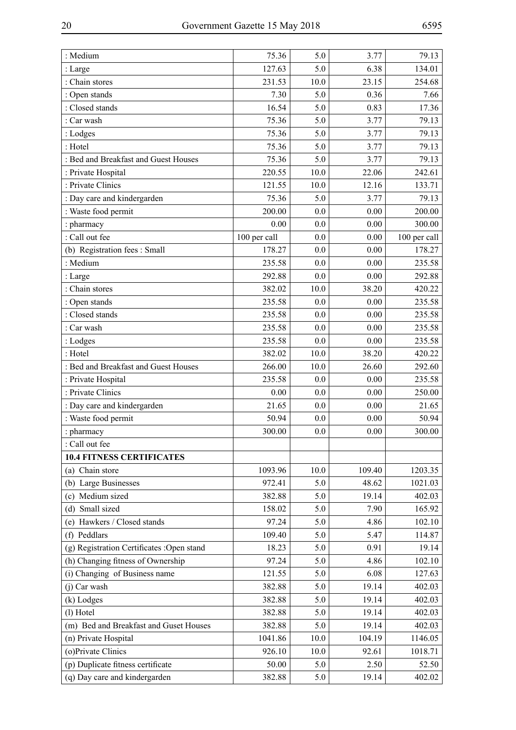| : Medium                                   | 75.36        | 5.0     | 3.77   | 79.13        |
|--------------------------------------------|--------------|---------|--------|--------------|
| : Large                                    | 127.63       | 5.0     | 6.38   | 134.01       |
| : Chain stores                             | 231.53       | 10.0    | 23.15  | 254.68       |
| : Open stands                              | 7.30         | 5.0     | 0.36   | 7.66         |
| : Closed stands                            | 16.54        | 5.0     | 0.83   | 17.36        |
| : Car wash                                 | 75.36        | 5.0     | 3.77   | 79.13        |
| : Lodges                                   | 75.36        | 5.0     | 3.77   | 79.13        |
| : Hotel                                    | 75.36        | 5.0     | 3.77   | 79.13        |
| : Bed and Breakfast and Guest Houses       | 75.36        | 5.0     | 3.77   | 79.13        |
| : Private Hospital                         | 220.55       | 10.0    | 22.06  | 242.61       |
| : Private Clinics                          | 121.55       | 10.0    | 12.16  | 133.71       |
| : Day care and kindergarden                | 75.36        | 5.0     | 3.77   | 79.13        |
| : Waste food permit                        | 200.00       | 0.0     | 0.00   | 200.00       |
| : pharmacy                                 | 0.00         | 0.0     | 0.00   | 300.00       |
| : Call out fee                             | 100 per call | 0.0     | 0.00   | 100 per call |
| (b) Registration fees: Small               | 178.27       | 0.0     | 0.00   | 178.27       |
| : Medium                                   | 235.58       | 0.0     | 0.00   | 235.58       |
| : Large                                    | 292.88       | 0.0     | 0.00   | 292.88       |
| : Chain stores                             | 382.02       | 10.0    | 38.20  | 420.22       |
| : Open stands                              | 235.58       | 0.0     | 0.00   | 235.58       |
| : Closed stands                            | 235.58       | 0.0     | 0.00   | 235.58       |
| : Car wash                                 | 235.58       | 0.0     | 0.00   | 235.58       |
| : Lodges                                   | 235.58       | 0.0     | 0.00   | 235.58       |
| : Hotel                                    | 382.02       | 10.0    | 38.20  | 420.22       |
| : Bed and Breakfast and Guest Houses       | 266.00       | 10.0    | 26.60  | 292.60       |
| : Private Hospital                         | 235.58       | 0.0     | 0.00   | 235.58       |
| : Private Clinics                          | 0.00         | 0.0     | 0.00   | 250.00       |
| : Day care and kindergarden                | 21.65        | 0.0     | 0.00   | 21.65        |
| : Waste food permit                        | 50.94        | $0.0\,$ | 0.00   | 50.94        |
| : pharmacy                                 | 300.00       | 0.0     | 0.00   | 300.00       |
| : Call out fee                             |              |         |        |              |
| <b>10.4 FITNESS CERTIFICATES</b>           |              |         |        |              |
| (a) Chain store                            | 1093.96      | 10.0    | 109.40 | 1203.35      |
| (b) Large Businesses                       | 972.41       | 5.0     | 48.62  | 1021.03      |
| Medium sized<br>(c)                        | 382.88       | 5.0     | 19.14  | 402.03       |
| (d) Small sized                            | 158.02       | 5.0     | 7.90   | 165.92       |
| Hawkers / Closed stands<br>(e)             | 97.24        | 5.0     | 4.86   | 102.10       |
| (f) Peddlars                               | 109.40       | 5.0     | 5.47   | 114.87       |
| (g) Registration Certificates : Open stand | 18.23        | 5.0     | 0.91   | 19.14        |
| (h) Changing fitness of Ownership          | 97.24        | 5.0     | 4.86   | 102.10       |
| (i) Changing of Business name              | 121.55       | 5.0     | 6.08   | 127.63       |
| (j) Car wash                               | 382.88       | 5.0     | 19.14  | 402.03       |
| (k) Lodges                                 | 382.88       | 5.0     | 19.14  | 402.03       |
| (l) Hotel                                  | 382.88       | 5.0     | 19.14  | 402.03       |
| (m) Bed and Breakfast and Guset Houses     | 382.88       | 5.0     | 19.14  | 402.03       |
| (n) Private Hospital                       | 1041.86      | 10.0    | 104.19 | 1146.05      |
| (o) Private Clinics                        | 926.10       | 10.0    | 92.61  | 1018.71      |
| (p) Duplicate fitness certificate          | 50.00        | 5.0     | 2.50   | 52.50        |
| (q) Day care and kindergarden              | 382.88       | 5.0     | 19.14  | 402.02       |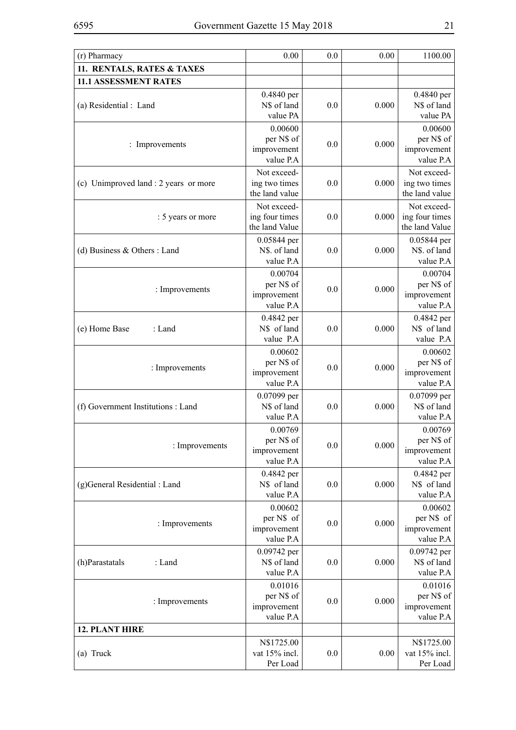| (r) Pharmacy                          | 0.00                         | 0.0 | 0.00  | 1100.00                     |
|---------------------------------------|------------------------------|-----|-------|-----------------------------|
| 11. RENTALS, RATES & TAXES            |                              |     |       |                             |
| <b>11.1 ASSESSMENT RATES</b>          |                              |     |       |                             |
|                                       | 0.4840 per                   |     |       | 0.4840 per                  |
| (a) Residential : Land                | N\$ of land                  | 0.0 | 0.000 | N\$ of land                 |
|                                       | value PA                     |     |       | value PA                    |
|                                       | 0.00600                      |     |       | 0.00600                     |
| : Improvements                        | per N\$ of                   | 0.0 | 0.000 | per N\$ of                  |
|                                       | improvement<br>value P.A     |     |       | improvement<br>value P.A    |
|                                       |                              |     |       | Not exceed-                 |
| (c) Unimproved land : 2 years or more | Not exceed-<br>ing two times | 0.0 | 0.000 | ing two times               |
|                                       | the land value               |     |       | the land value              |
|                                       | Not exceed-                  |     |       | Not exceed-                 |
| : 5 years or more                     | ing four times               | 0.0 | 0.000 | ing four times              |
|                                       | the land Value               |     |       | the land Value              |
|                                       | 0.05844 per                  |     |       | 0.05844 per                 |
| (d) Business $&$ Others : Land        | N\$. of land                 | 0.0 | 0.000 | N\$. of land                |
|                                       | value P.A                    |     |       | value P.A                   |
|                                       | 0.00704                      |     |       | 0.00704                     |
| : Improvements                        | per N\$ of                   | 0.0 | 0.000 | per N\$ of                  |
|                                       | improvement                  |     |       | improvement                 |
|                                       | value P.A                    |     |       | value P.A                   |
|                                       | 0.4842 per                   |     |       | 0.4842 per                  |
| (e) Home Base<br>: Land               | N\$ of land<br>value P.A     | 0.0 | 0.000 | N\$ of land<br>value P.A    |
|                                       |                              |     |       |                             |
|                                       | 0.00602<br>per N\$ of        |     |       | 0.00602<br>per N\$ of       |
| : Improvements                        | improvement                  | 0.0 | 0.000 | improvement                 |
|                                       | value P.A                    |     |       | value P.A                   |
|                                       | 0.07099 per                  |     |       | 0.07099 per                 |
| (f) Government Institutions : Land    | N\$ of land                  | 0.0 | 0.000 | N\$ of land                 |
|                                       | value P.A                    |     |       | value P.A                   |
|                                       | 0.00769                      |     |       | 0.00769                     |
| : Improvements                        | per N\$ of                   | 0.0 | 0.000 | per N\$ of                  |
|                                       | improvement                  |     |       | improvement                 |
|                                       | value P.A                    |     |       | value P.A                   |
|                                       | 0.4842 per<br>N\$ of land    | 0.0 | 0.000 | 0.4842 per<br>N\$ of land   |
| (g)General Residential : Land         | value P.A                    |     |       | value P.A                   |
|                                       | 0.00602                      |     |       | 0.00602                     |
|                                       | per N\$ of                   |     |       | per N\$ of                  |
| : Improvements                        | improvement                  | 0.0 | 0.000 | improvement                 |
|                                       | value P.A                    |     |       | value P.A                   |
|                                       | 0.09742 per                  |     |       | 0.09742 per                 |
| (h)Parastatals<br>: Land              | N\$ of land                  | 0.0 | 0.000 | N\$ of land                 |
|                                       | value P.A                    |     |       | value P.A                   |
|                                       | 0.01016                      |     |       | 0.01016                     |
| : Improvements                        | per N\$ of                   | 0.0 | 0.000 | per N\$ of                  |
|                                       | improvement<br>value P.A     |     |       | improvement<br>value P.A    |
| <b>12. PLANT HIRE</b>                 |                              |     |       |                             |
|                                       |                              |     |       |                             |
| (a) Truck                             | N\$1725.00<br>vat 15% incl.  | 0.0 | 0.00  | N\$1725.00<br>vat 15% incl. |
|                                       | Per Load                     |     |       | Per Load                    |
|                                       |                              |     |       |                             |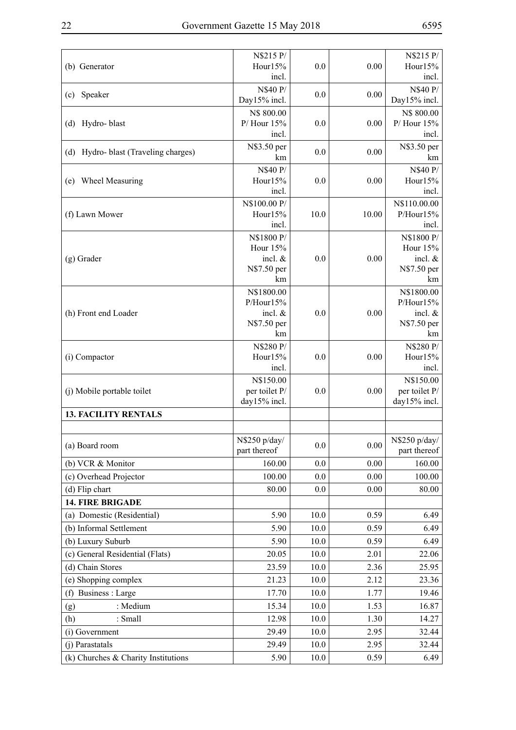| (b) Generator                        | N\$215 P/<br>Hour15%            | 0.0      | 0.00     | N\$215 P/<br>Hour15%          |
|--------------------------------------|---------------------------------|----------|----------|-------------------------------|
| (c) Speaker                          | incl.<br>N\$40 P/               | 0.0      | 0.00     | incl.<br>N\$40 P/             |
|                                      | Day15% incl.                    |          |          | Day15% incl.                  |
|                                      | N\$ 800.00                      |          |          | N\$ 800.00                    |
| Hydro-blast<br>(d)                   | $P/$ Hour 15%                   | 0.0      | 0.00     | $P/$ Hour 15%                 |
|                                      | incl.                           |          |          | incl.                         |
| (d) Hydro- blast (Traveling charges) | N\$3.50 per<br>km               | 0.0      | 0.00     | N\$3.50 per<br>km             |
|                                      | N\$40 P/                        |          |          | N\$40 P/                      |
| Wheel Measuring<br>(e)               | Hour15%                         | 0.0      | 0.00     | Hour15%                       |
|                                      | incl.                           |          |          | incl.                         |
|                                      | N\$100.00 P/                    |          |          | N\$110.00.00                  |
| (f) Lawn Mower                       | Hour15%                         | 10.0     | 10.00    | P/Hour15%                     |
|                                      | incl.                           |          |          | incl.                         |
|                                      | N\$1800 P/<br>Hour 15%          |          |          | N\$1800 P/<br>Hour 15%        |
| $(g)$ Grader                         | incl. $&$                       | 0.0      | 0.00     | incl. $&$                     |
|                                      | N\$7.50 per                     |          |          | N\$7.50 per                   |
|                                      | km                              |          |          | km                            |
|                                      | N\$1800.00                      |          |          | N\$1800.00                    |
|                                      | P/Hour15%                       |          |          | P/Hour15%                     |
| (h) Front end Loader                 | incl. $&$<br>N\$7.50 per        | 0.0      | 0.00     | incl. $&$<br>N\$7.50 per      |
|                                      | km                              |          |          | km                            |
|                                      | N\$280 P/                       |          |          | N\$280 P/                     |
| (i) Compactor                        | Hour15%                         | 0.0      | 0.00     | Hour15%                       |
|                                      | incl.                           |          |          | incl.                         |
|                                      | N\$150.00                       |          |          | N\$150.00                     |
| (j) Mobile portable toilet           | per toilet P/<br>$day15%$ incl. | 0.0      | 0.00     | per toilet P/<br>day15% incl. |
| <b>13. FACILITY RENTALS</b>          |                                 |          |          |                               |
|                                      |                                 |          |          |                               |
|                                      | N\$250 p/day/                   |          |          | N\$250 p/day/                 |
| (a) Board room                       | part thereof                    | 0.0      | $0.00\,$ | part thereof                  |
| (b) VCR & Monitor                    | 160.00                          | 0.0      | 0.00     | 160.00                        |
| (c) Overhead Projector               | 100.00                          | 0.0      | 0.00     | 100.00                        |
| (d) Flip chart                       | 80.00                           | 0.0      | 0.00     | 80.00                         |
| <b>14. FIRE BRIGADE</b>              |                                 |          |          |                               |
| (a) Domestic (Residential)           | 5.90                            | 10.0     | 0.59     | 6.49                          |
| (b) Informal Settlement              | 5.90                            | 10.0     | 0.59     | 6.49                          |
| (b) Luxury Suburb                    | 5.90                            | 10.0     | 0.59     | 6.49                          |
| (c) General Residential (Flats)      | 20.05                           | 10.0     | 2.01     | 22.06                         |
| (d) Chain Stores                     | 23.59                           | 10.0     | 2.36     | 25.95                         |
| (e) Shopping complex                 | 21.23                           | 10.0     | 2.12     | 23.36                         |
| (f) Business : Large                 | 17.70                           | 10.0     | 1.77     | 19.46                         |
| : Medium<br>(g)                      | 15.34                           | 10.0     | 1.53     | 16.87                         |
| (h)<br>: Small                       | 12.98                           | 10.0     | 1.30     | 14.27                         |
| (i) Government                       | 29.49                           | 10.0     | 2.95     | 32.44                         |
| (j) Parastatals                      | 29.49                           | 10.0     | 2.95     | 32.44                         |
| (k) Churches & Charity Institutions  | 5.90                            | $10.0\,$ | 0.59     | 6.49                          |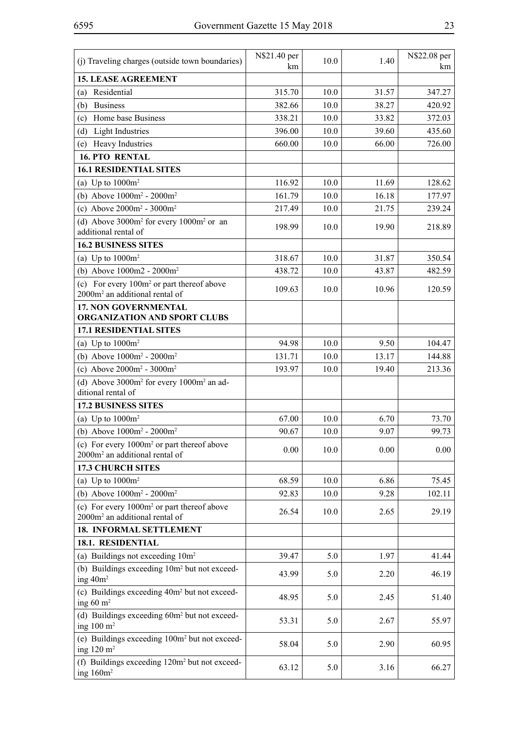| (j) Traveling charges (outside town boundaries)                                                      | N\$21.40 per<br>km | 10.0 | 1.40  | N\$22.08 per<br>km |
|------------------------------------------------------------------------------------------------------|--------------------|------|-------|--------------------|
| <b>15. LEASE AGREEMENT</b>                                                                           |                    |      |       |                    |
| Residential<br>(a)                                                                                   | 315.70             | 10.0 | 31.57 | 347.27             |
| <b>Business</b><br>(b)                                                                               | 382.66             | 10.0 | 38.27 | 420.92             |
| Home base Business<br>(c)                                                                            | 338.21             | 10.0 | 33.82 | 372.03             |
| (d)<br>Light Industries                                                                              | 396.00             | 10.0 | 39.60 | 435.60             |
| Heavy Industries<br>(e)                                                                              | 660.00             | 10.0 | 66.00 | 726.00             |
| <b>16. PTO RENTAL</b>                                                                                |                    |      |       |                    |
| <b>16.1 RESIDENTIAL SITES</b>                                                                        |                    |      |       |                    |
| (a) Up to $1000m^2$                                                                                  | 116.92             | 10.0 | 11.69 | 128.62             |
| (b) Above $1000m^2 - 2000m^2$                                                                        | 161.79             | 10.0 | 16.18 | 177.97             |
| (c) Above $2000m^2 - 3000m^2$                                                                        | 217.49             | 10.0 | 21.75 | 239.24             |
| (d) Above $3000m^2$ for every $1000m^2$ or an<br>additional rental of                                | 198.99             | 10.0 | 19.90 | 218.89             |
| <b>16.2 BUSINESS SITES</b>                                                                           |                    |      |       |                    |
| (a) Up to $1000m^2$                                                                                  | 318.67             | 10.0 | 31.87 | 350.54             |
| (b) Above $1000m2 - 2000m^2$                                                                         | 438.72             | 10.0 | 43.87 | 482.59             |
| (c) For every $100m^2$ or part thereof above<br>$2000m2$ an additional rental of                     | 109.63             | 10.0 | 10.96 | 120.59             |
| <b>17. NON GOVERNMENTAL</b><br>ORGANIZATION AND SPORT CLUBS                                          |                    |      |       |                    |
| <b>17.1 RESIDENTIAL SITES</b>                                                                        |                    |      |       |                    |
| (a) Up to $1000m^2$                                                                                  | 94.98              | 10.0 | 9.50  | 104.47             |
| (b) Above $1000m^2 - 2000m^2$                                                                        | 131.71             | 10.0 | 13.17 | 144.88             |
| (c) Above $2000m^2 - 3000m^2$                                                                        | 193.97             | 10.0 | 19.40 | 213.36             |
| (d) Above $3000m^2$ for every $1000m^2$ an ad-<br>ditional rental of                                 |                    |      |       |                    |
| <b>17.2 BUSINESS SITES</b>                                                                           |                    |      |       |                    |
| (a) Up to $1000m^2$                                                                                  | 67.00              | 10.0 | 6.70  | 73.70              |
| (b) Above $1000m^2 - 2000m^2$                                                                        | 90.67              | 10.0 | 9.07  | 99.73              |
| (c) For every 1000m <sup>2</sup> or part thereof above<br>2000m <sup>2</sup> an additional rental of | 0.00               | 10.0 | 0.00  | 0.00               |
| <b>17.3 CHURCH SITES</b>                                                                             |                    |      |       |                    |
| (a) Up to $1000m^2$                                                                                  | 68.59              | 10.0 | 6.86  | 75.45              |
| (b) Above $1000m^2 - 2000m^2$                                                                        | 92.83              | 10.0 | 9.28  | 102.11             |
| (c) For every 1000m <sup>2</sup> or part thereof above<br>2000m <sup>2</sup> an additional rental of | 26.54              | 10.0 | 2.65  | 29.19              |
| <b>18. INFORMAL SETTLEMENT</b>                                                                       |                    |      |       |                    |
| 18.1. RESIDENTIAL                                                                                    |                    |      |       |                    |
| (a) Buildings not exceeding 10m <sup>2</sup>                                                         | 39.47              | 5.0  | 1.97  | 41.44              |
| (b) Buildings exceeding 10m <sup>2</sup> but not exceed-<br>ing 40m <sup>2</sup>                     | 43.99              | 5.0  | 2.20  | 46.19              |
| (c) Buildings exceeding 40m <sup>2</sup> but not exceed-<br>ing $60 \text{ m}^2$                     | 48.95              | 5.0  | 2.45  | 51.40              |
| (d) Buildings exceeding 60m <sup>2</sup> but not exceed-<br>ing $100 \text{ m}^2$                    | 53.31              | 5.0  | 2.67  | 55.97              |
| (e) Buildings exceeding 100m <sup>2</sup> but not exceed-<br>ing $120 \text{ m}^2$                   | 58.04              | 5.0  | 2.90  | 60.95              |
| (f) Buildings exceeding 120m <sup>2</sup> but not exceed-<br>ing $160m^2$                            | 63.12              | 5.0  | 3.16  | 66.27              |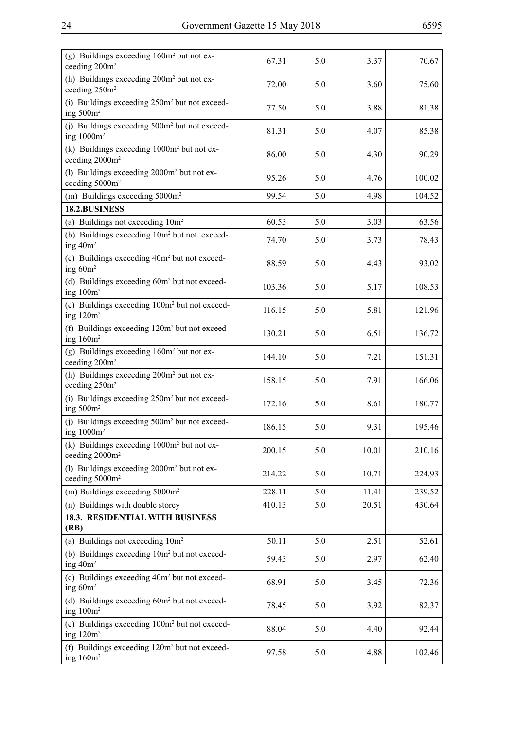| ۰,<br>۰.<br>۰.<br>۰,<br>× |
|---------------------------|
|---------------------------|

| 72.00  |     |       |        |
|--------|-----|-------|--------|
|        | 5.0 | 3.60  | 75.60  |
| 77.50  | 5.0 | 3.88  | 81.38  |
| 81.31  | 5.0 | 4.07  | 85.38  |
| 86.00  | 5.0 | 4.30  | 90.29  |
| 95.26  | 5.0 | 4.76  | 100.02 |
| 99.54  | 5.0 | 4.98  | 104.52 |
|        |     |       |        |
| 60.53  | 5.0 | 3.03  | 63.56  |
| 74.70  | 5.0 | 3.73  | 78.43  |
| 88.59  | 5.0 | 4.43  | 93.02  |
| 103.36 | 5.0 | 5.17  | 108.53 |
| 116.15 | 5.0 | 5.81  | 121.96 |
| 130.21 | 5.0 | 6.51  | 136.72 |
| 144.10 | 5.0 | 7.21  | 151.31 |
| 158.15 | 5.0 | 7.91  | 166.06 |
| 172.16 | 5.0 | 8.61  | 180.77 |
| 186.15 | 5.0 | 9.31  | 195.46 |
| 200.15 | 5.0 | 10.01 | 210.16 |
| 214.22 | 5.0 | 10.71 | 224.93 |
| 228.11 | 5.0 | 11.41 | 239.52 |
| 410.13 | 5.0 | 20.51 | 430.64 |
|        |     |       |        |
| 50.11  | 5.0 | 2.51  | 52.61  |
| 59.43  | 5.0 | 2.97  | 62.40  |
| 68.91  | 5.0 | 3.45  | 72.36  |
| 78.45  | 5.0 | 3.92  | 82.37  |
| 88.04  | 5.0 | 4.40  | 92.44  |
| 97.58  | 5.0 | 4.88  | 102.46 |
|        |     |       |        |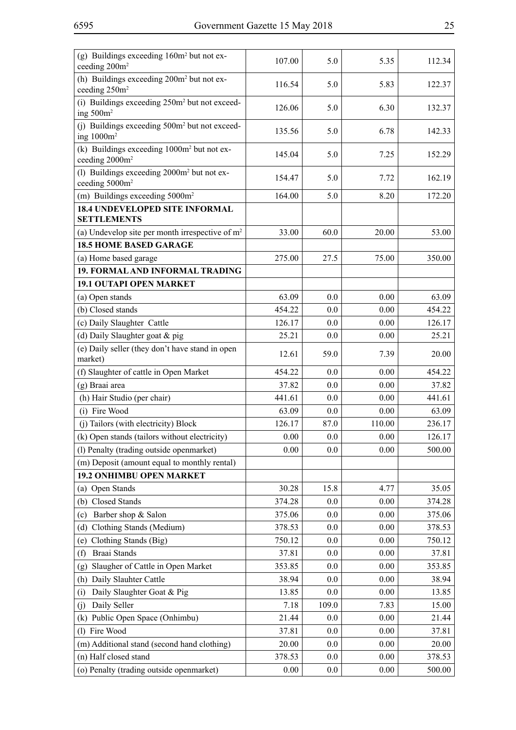| (h) Buildings exceeding 200m <sup>2</sup> but not ex-<br>5.0<br>116.54<br>5.83<br>122.37<br>ceeding 250m <sup>2</sup><br>(i) Buildings exceeding 250m <sup>2</sup> but not exceed-<br>5.0<br>126.06<br>6.30<br>132.37<br>ing $500m^2$<br>(j) Buildings exceeding 500m <sup>2</sup> but not exceed-<br>6.78<br>135.56<br>5.0<br>142.33<br>ing $1000m^2$<br>(k) Buildings exceeding 1000m <sup>2</sup> but not ex-<br>5.0<br>145.04<br>7.25<br>152.29<br>ceeding 2000m <sup>2</sup><br>(l) Buildings exceeding 2000m <sup>2</sup> but not ex-<br>154.47<br>5.0<br>162.19<br>7.72<br>ceeding 5000m <sup>2</sup><br>8.20<br>(m) Buildings exceeding 5000m <sup>2</sup><br>164.00<br>5.0<br>172.20<br><b>18.4 UNDEVELOPED SITE INFORMAL</b><br><b>SETTLEMENTS</b><br>33.00<br>60.0<br>20.00<br>53.00<br>(a) Undevelop site per month irrespective of $m2$<br><b>18.5 HOME BASED GARAGE</b><br>275.00<br>27.5<br>75.00<br>(a) Home based garage<br>350.00<br>19. FORMAL AND INFORMAL TRADING<br><b>19.1 OUTAPI OPEN MARKET</b><br>63.09<br>63.09<br>0.0<br>0.00<br>(a) Open stands |
|------------------------------------------------------------------------------------------------------------------------------------------------------------------------------------------------------------------------------------------------------------------------------------------------------------------------------------------------------------------------------------------------------------------------------------------------------------------------------------------------------------------------------------------------------------------------------------------------------------------------------------------------------------------------------------------------------------------------------------------------------------------------------------------------------------------------------------------------------------------------------------------------------------------------------------------------------------------------------------------------------------------------------------------------------------------------------|
|                                                                                                                                                                                                                                                                                                                                                                                                                                                                                                                                                                                                                                                                                                                                                                                                                                                                                                                                                                                                                                                                              |
|                                                                                                                                                                                                                                                                                                                                                                                                                                                                                                                                                                                                                                                                                                                                                                                                                                                                                                                                                                                                                                                                              |
|                                                                                                                                                                                                                                                                                                                                                                                                                                                                                                                                                                                                                                                                                                                                                                                                                                                                                                                                                                                                                                                                              |
|                                                                                                                                                                                                                                                                                                                                                                                                                                                                                                                                                                                                                                                                                                                                                                                                                                                                                                                                                                                                                                                                              |
|                                                                                                                                                                                                                                                                                                                                                                                                                                                                                                                                                                                                                                                                                                                                                                                                                                                                                                                                                                                                                                                                              |
|                                                                                                                                                                                                                                                                                                                                                                                                                                                                                                                                                                                                                                                                                                                                                                                                                                                                                                                                                                                                                                                                              |
|                                                                                                                                                                                                                                                                                                                                                                                                                                                                                                                                                                                                                                                                                                                                                                                                                                                                                                                                                                                                                                                                              |
|                                                                                                                                                                                                                                                                                                                                                                                                                                                                                                                                                                                                                                                                                                                                                                                                                                                                                                                                                                                                                                                                              |
|                                                                                                                                                                                                                                                                                                                                                                                                                                                                                                                                                                                                                                                                                                                                                                                                                                                                                                                                                                                                                                                                              |
|                                                                                                                                                                                                                                                                                                                                                                                                                                                                                                                                                                                                                                                                                                                                                                                                                                                                                                                                                                                                                                                                              |
|                                                                                                                                                                                                                                                                                                                                                                                                                                                                                                                                                                                                                                                                                                                                                                                                                                                                                                                                                                                                                                                                              |
|                                                                                                                                                                                                                                                                                                                                                                                                                                                                                                                                                                                                                                                                                                                                                                                                                                                                                                                                                                                                                                                                              |
|                                                                                                                                                                                                                                                                                                                                                                                                                                                                                                                                                                                                                                                                                                                                                                                                                                                                                                                                                                                                                                                                              |
| (b) Closed stands<br>454.22<br>0.0<br>0.00<br>454.22                                                                                                                                                                                                                                                                                                                                                                                                                                                                                                                                                                                                                                                                                                                                                                                                                                                                                                                                                                                                                         |
| (c) Daily Slaughter Cattle<br>126.17<br>0.0<br>0.00<br>126.17                                                                                                                                                                                                                                                                                                                                                                                                                                                                                                                                                                                                                                                                                                                                                                                                                                                                                                                                                                                                                |
| (d) Daily Slaughter goat & pig<br>25.21<br>0.0<br>0.00<br>25.21                                                                                                                                                                                                                                                                                                                                                                                                                                                                                                                                                                                                                                                                                                                                                                                                                                                                                                                                                                                                              |
| (e) Daily seller (they don't have stand in open<br>59.0<br>20.00<br>12.61<br>7.39<br>market)                                                                                                                                                                                                                                                                                                                                                                                                                                                                                                                                                                                                                                                                                                                                                                                                                                                                                                                                                                                 |
| (f) Slaughter of cattle in Open Market<br>454.22<br>0.0<br>0.00<br>454.22                                                                                                                                                                                                                                                                                                                                                                                                                                                                                                                                                                                                                                                                                                                                                                                                                                                                                                                                                                                                    |
| (g) Braai area<br>37.82<br>0.0<br>0.00<br>37.82                                                                                                                                                                                                                                                                                                                                                                                                                                                                                                                                                                                                                                                                                                                                                                                                                                                                                                                                                                                                                              |
| (h) Hair Studio (per chair)<br>441.61<br>0.0<br>0.00<br>441.61                                                                                                                                                                                                                                                                                                                                                                                                                                                                                                                                                                                                                                                                                                                                                                                                                                                                                                                                                                                                               |
| (i) Fire Wood<br>63.09<br>0.00<br>63.09<br>0.0                                                                                                                                                                                                                                                                                                                                                                                                                                                                                                                                                                                                                                                                                                                                                                                                                                                                                                                                                                                                                               |
| (j) Tailors (with electricity) Block<br>126.17<br>110.00<br>236.17<br>87.0                                                                                                                                                                                                                                                                                                                                                                                                                                                                                                                                                                                                                                                                                                                                                                                                                                                                                                                                                                                                   |
| (k) Open stands (tailors without electricity)<br>0.00<br>$0.0\,$<br>0.00<br>126.17                                                                                                                                                                                                                                                                                                                                                                                                                                                                                                                                                                                                                                                                                                                                                                                                                                                                                                                                                                                           |
| (l) Penalty (trading outside openmarket)<br>0.00<br>0.0<br>0.00<br>500.00                                                                                                                                                                                                                                                                                                                                                                                                                                                                                                                                                                                                                                                                                                                                                                                                                                                                                                                                                                                                    |
| (m) Deposit (amount equal to monthly rental)                                                                                                                                                                                                                                                                                                                                                                                                                                                                                                                                                                                                                                                                                                                                                                                                                                                                                                                                                                                                                                 |
| 19.2 ONHIMBU OPEN MARKET                                                                                                                                                                                                                                                                                                                                                                                                                                                                                                                                                                                                                                                                                                                                                                                                                                                                                                                                                                                                                                                     |
| (a) Open Stands<br>30.28<br>15.8<br>4.77<br>35.05                                                                                                                                                                                                                                                                                                                                                                                                                                                                                                                                                                                                                                                                                                                                                                                                                                                                                                                                                                                                                            |
| Closed Stands<br>374.28<br>0.0<br>0.00<br>374.28<br>(b)                                                                                                                                                                                                                                                                                                                                                                                                                                                                                                                                                                                                                                                                                                                                                                                                                                                                                                                                                                                                                      |
| Barber shop & Salon<br>0.00<br>375.06<br>0.0<br>375.06<br>(c)                                                                                                                                                                                                                                                                                                                                                                                                                                                                                                                                                                                                                                                                                                                                                                                                                                                                                                                                                                                                                |
| Clothing Stands (Medium)<br>0.0<br>0.00<br>378.53<br>378.53<br>(d)                                                                                                                                                                                                                                                                                                                                                                                                                                                                                                                                                                                                                                                                                                                                                                                                                                                                                                                                                                                                           |
| Clothing Stands (Big)<br>750.12<br>0.00<br>750.12<br>0.0<br>(e)<br>Braai Stands                                                                                                                                                                                                                                                                                                                                                                                                                                                                                                                                                                                                                                                                                                                                                                                                                                                                                                                                                                                              |
| 37.81<br>0.0<br>0.00<br>37.81<br>(f)<br>0.00                                                                                                                                                                                                                                                                                                                                                                                                                                                                                                                                                                                                                                                                                                                                                                                                                                                                                                                                                                                                                                 |
| Slaugher of Cattle in Open Market<br>353.85<br>353.85<br>0.0<br>(g)<br>Daily Slauhter Cattle<br>38.94<br>0.00<br>38.94<br>0.0                                                                                                                                                                                                                                                                                                                                                                                                                                                                                                                                                                                                                                                                                                                                                                                                                                                                                                                                                |
| (h)<br>Daily Slaughter Goat & Pig<br>13.85<br>13.85<br>0.0<br>0.00<br>(i)                                                                                                                                                                                                                                                                                                                                                                                                                                                                                                                                                                                                                                                                                                                                                                                                                                                                                                                                                                                                    |
| Daily Seller<br>109.0<br>15.00<br>7.18<br>7.83                                                                                                                                                                                                                                                                                                                                                                                                                                                                                                                                                                                                                                                                                                                                                                                                                                                                                                                                                                                                                               |
| (i)<br>Public Open Space (Onhimbu)<br>21.44<br>21.44<br>0.0<br>0.00<br>(k)                                                                                                                                                                                                                                                                                                                                                                                                                                                                                                                                                                                                                                                                                                                                                                                                                                                                                                                                                                                                   |
| (l) Fire Wood<br>37.81<br>0.00<br>37.81<br>0.0                                                                                                                                                                                                                                                                                                                                                                                                                                                                                                                                                                                                                                                                                                                                                                                                                                                                                                                                                                                                                               |
| (m) Additional stand (second hand clothing)<br>20.00<br>0.0<br>0.00<br>20.00                                                                                                                                                                                                                                                                                                                                                                                                                                                                                                                                                                                                                                                                                                                                                                                                                                                                                                                                                                                                 |
| (n) Half closed stand<br>378.53<br>0.0<br>0.00<br>378.53                                                                                                                                                                                                                                                                                                                                                                                                                                                                                                                                                                                                                                                                                                                                                                                                                                                                                                                                                                                                                     |
| (o) Penalty (trading outside openmarket)<br>500.00<br>0.00<br>0.0<br>0.00                                                                                                                                                                                                                                                                                                                                                                                                                                                                                                                                                                                                                                                                                                                                                                                                                                                                                                                                                                                                    |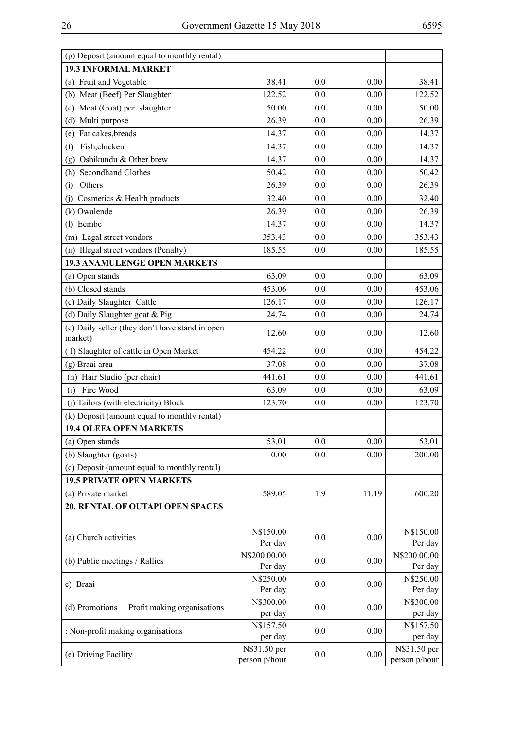| (p) Deposit (amount equal to monthly rental)               |                               |     |          |                               |
|------------------------------------------------------------|-------------------------------|-----|----------|-------------------------------|
| <b>19.3 INFORMAL MARKET</b>                                |                               |     |          |                               |
| (a) Fruit and Vegetable                                    | 38.41                         | 0.0 | 0.00     | 38.41                         |
| (b) Meat (Beef) Per Slaughter                              | 122.52                        | 0.0 | 0.00     | 122.52                        |
| (c) Meat (Goat) per slaughter                              | 50.00                         | 0.0 | 0.00     | 50.00                         |
| (d) Multi purpose                                          | 26.39                         | 0.0 | 0.00     | 26.39                         |
| (e) Fat cakes, breads                                      | 14.37                         | 0.0 | 0.00     | 14.37                         |
| Fish, chicken<br>(f)                                       | 14.37                         | 0.0 | 0.00     | 14.37                         |
| Oshikundu & Other brew<br>(g)                              | 14.37                         | 0.0 | 0.00     | 14.37                         |
| (h) Secondhand Clothes                                     | 50.42                         | 0.0 | 0.00     | 50.42                         |
| Others<br>(i)                                              | 26.39                         | 0.0 | 0.00     | 26.39                         |
| (j) Cosmetics & Health products                            | 32.40                         | 0.0 | 0.00     | 32.40                         |
| (k) Owalende                                               | 26.39                         | 0.0 | 0.00     | 26.39                         |
| (l) Eembe                                                  | 14.37                         | 0.0 | 0.00     | 14.37                         |
| (m) Legal street vendors                                   | 353.43                        | 0.0 | 0.00     | 353.43                        |
| (n) Illegal street vendors (Penalty)                       | 185.55                        | 0.0 | 0.00     | 185.55                        |
| <b>19.3 ANAMULENGE OPEN MARKETS</b>                        |                               |     |          |                               |
| (a) Open stands                                            | 63.09                         | 0.0 | 0.00     | 63.09                         |
| (b) Closed stands                                          | 453.06                        | 0.0 | 0.00     | 453.06                        |
| (c) Daily Slaughter Cattle                                 | 126.17                        | 0.0 | 0.00     | 126.17                        |
| (d) Daily Slaughter goat & Pig                             | 24.74                         | 0.0 | 0.00     | 24.74                         |
| (e) Daily seller (they don't have stand in open<br>market) | 12.60                         | 0.0 | 0.00     | 12.60                         |
| (f) Slaughter of cattle in Open Market                     | 454.22                        | 0.0 | 0.00     | 454.22                        |
| (g) Braai area                                             | 37.08                         | 0.0 | 0.00     | 37.08                         |
| (h) Hair Studio (per chair)                                | 441.61                        | 0.0 | 0.00     | 441.61                        |
| Fire Wood<br>(i)                                           | 63.09                         | 0.0 | 0.00     | 63.09                         |
| (j) Tailors (with electricity) Block                       | 123.70                        | 0.0 | 0.00     | 123.70                        |
| (k) Deposit (amount equal to monthly rental)               |                               |     |          |                               |
| <b>19.4 OLEFA OPEN MARKETS</b>                             |                               |     |          |                               |
| (a) Open stands                                            | 53.01                         | 0.0 | 0.00     | 53.01                         |
| (b) Slaughter (goats)                                      | 0.00                          | 0.0 | 0.00     | 200.00                        |
| (c) Deposit (amount equal to monthly rental)               |                               |     |          |                               |
| <b>19.5 PRIVATE OPEN MARKETS</b>                           |                               |     |          |                               |
| (a) Private market                                         | 589.05                        | 1.9 | 11.19    | 600.20                        |
| 20. RENTAL OF OUTAPI OPEN SPACES                           |                               |     |          |                               |
|                                                            |                               |     |          |                               |
| (a) Church activities                                      | N\$150.00<br>Per day          | 0.0 | 0.00     | N\$150.00<br>Per day          |
| (b) Public meetings / Rallies                              | N\$200.00.00<br>Per day       | 0.0 | 0.00     | N\$200.00.00<br>Per day       |
| c) Braai                                                   | N\$250.00<br>Per day          | 0.0 | 0.00     | N\$250.00<br>Per day          |
| (d) Promotions : Profit making organisations               | N\$300.00                     | 0.0 | 0.00     | N\$300.00                     |
|                                                            | per day                       |     |          | per day                       |
| : Non-profit making organisations                          | N\$157.50<br>per day          | 0.0 | 0.00     | N\$157.50<br>per day          |
| (e) Driving Facility                                       | N\$31.50 per<br>person p/hour | 0.0 | $0.00\,$ | N\$31.50 per<br>person p/hour |